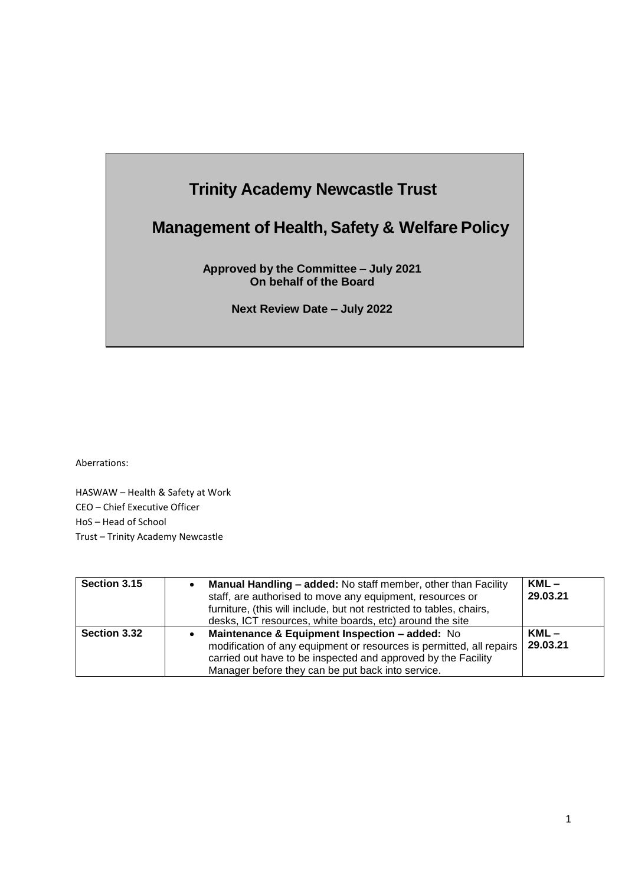# **Trinity Academy Newcastle Trust**

# **Management of Health, Safety & Welfare Policy**

**Approved by the Committee – July 2021 On behalf of the Board**

**Next Review Date – July 2022**

Aberrations:

HASWAW – Health & Safety at Work CEO – Chief Executive Officer HoS – Head of School Trust – Trinity Academy Newcastle

| Section 3.15 | Manual Handling - added: No staff member, other than Facility<br>staff, are authorised to move any equipment, resources or<br>furniture, (this will include, but not restricted to tables, chairs,<br>desks, ICT resources, white boards, etc) around the site | $KML -$<br>29.03.21 |
|--------------|----------------------------------------------------------------------------------------------------------------------------------------------------------------------------------------------------------------------------------------------------------------|---------------------|
| Section 3.32 | Maintenance & Equipment Inspection - added: No<br>modification of any equipment or resources is permitted, all repairs<br>carried out have to be inspected and approved by the Facility<br>Manager before they can be put back into service.                   | $KML -$<br>29.03.21 |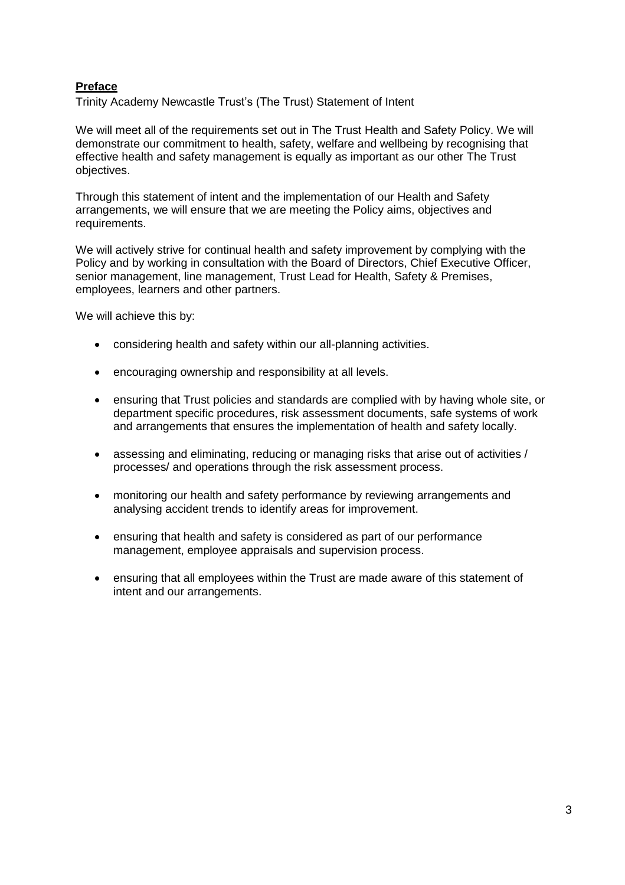# **Preface**

Trinity Academy Newcastle Trust's (The Trust) Statement of Intent

We will meet all of the requirements set out in The Trust Health and Safety Policy. We will demonstrate our commitment to health, safety, welfare and wellbeing by recognising that effective health and safety management is equally as important as our other The Trust objectives.

Through this statement of intent and the implementation of our Health and Safety arrangements, we will ensure that we are meeting the Policy aims, objectives and requirements.

We will actively strive for continual health and safety improvement by complying with the Policy and by working in consultation with the Board of Directors, Chief Executive Officer, senior management, line management, Trust Lead for Health, Safety & Premises, employees, learners and other partners.

We will achieve this by:

- considering health and safety within our all-planning activities.
- encouraging ownership and responsibility at all levels.
- ensuring that Trust policies and standards are complied with by having whole site, or department specific procedures, risk assessment documents, safe systems of work and arrangements that ensures the implementation of health and safety locally.
- assessing and eliminating, reducing or managing risks that arise out of activities / processes/ and operations through the risk assessment process.
- monitoring our health and safety performance by reviewing arrangements and analysing accident trends to identify areas for improvement.
- ensuring that health and safety is considered as part of our performance management, employee appraisals and supervision process.
- ensuring that all employees within the Trust are made aware of this statement of intent and our arrangements.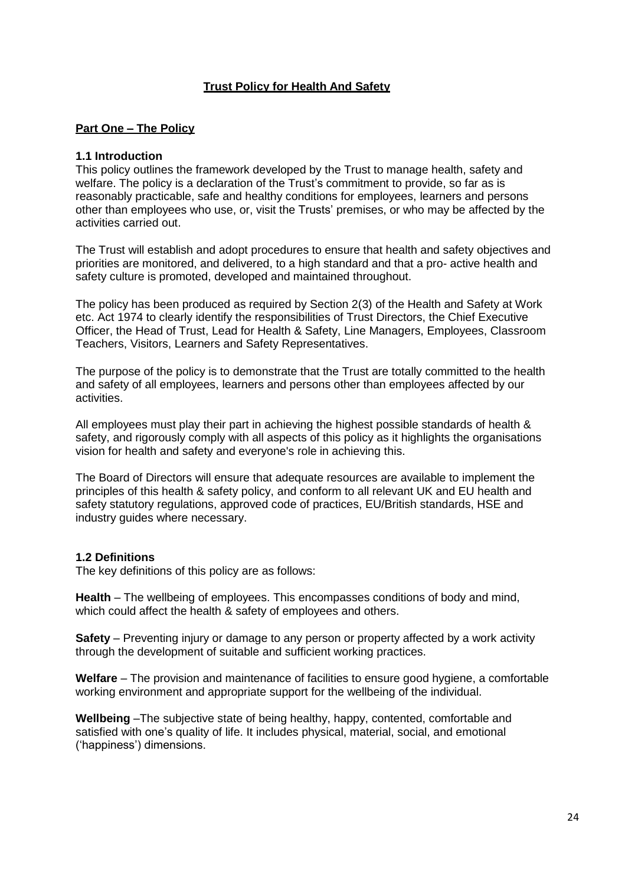# **Trust Policy for Health And Safety**

### **Part One – The Policy**

#### **1.1 Introduction**

This policy outlines the framework developed by the Trust to manage health, safety and welfare. The policy is a declaration of the Trust's commitment to provide, so far as is reasonably practicable, safe and healthy conditions for employees, learners and persons other than employees who use, or, visit the Trusts' premises, or who may be affected by the activities carried out.

The Trust will establish and adopt procedures to ensure that health and safety objectives and priorities are monitored, and delivered, to a high standard and that a pro- active health and safety culture is promoted, developed and maintained throughout.

The policy has been produced as required by Section 2(3) of the Health and Safety at Work etc. Act 1974 to clearly identify the responsibilities of Trust Directors, the Chief Executive Officer, the Head of Trust, Lead for Health & Safety, Line Managers, Employees, Classroom Teachers, Visitors, Learners and Safety Representatives.

The purpose of the policy is to demonstrate that the Trust are totally committed to the health and safety of all employees, learners and persons other than employees affected by our activities.

All employees must play their part in achieving the highest possible standards of health & safety, and rigorously comply with all aspects of this policy as it highlights the organisations vision for health and safety and everyone's role in achieving this.

The Board of Directors will ensure that adequate resources are available to implement the principles of this health & safety policy, and conform to all relevant UK and EU health and safety statutory regulations, approved code of practices, EU/British standards, HSE and industry guides where necessary.

### **1.2 Definitions**

The key definitions of this policy are as follows:

**Health** – The wellbeing of employees. This encompasses conditions of body and mind, which could affect the health & safety of employees and others.

**Safety** – Preventing injury or damage to any person or property affected by a work activity through the development of suitable and sufficient working practices.

**Welfare** – The provision and maintenance of facilities to ensure good hygiene, a comfortable working environment and appropriate support for the wellbeing of the individual.

**Wellbeing** –The subjective state of being healthy, happy, contented, comfortable and satisfied with one's quality of life. It includes physical, material, social, and emotional ('happiness') dimensions.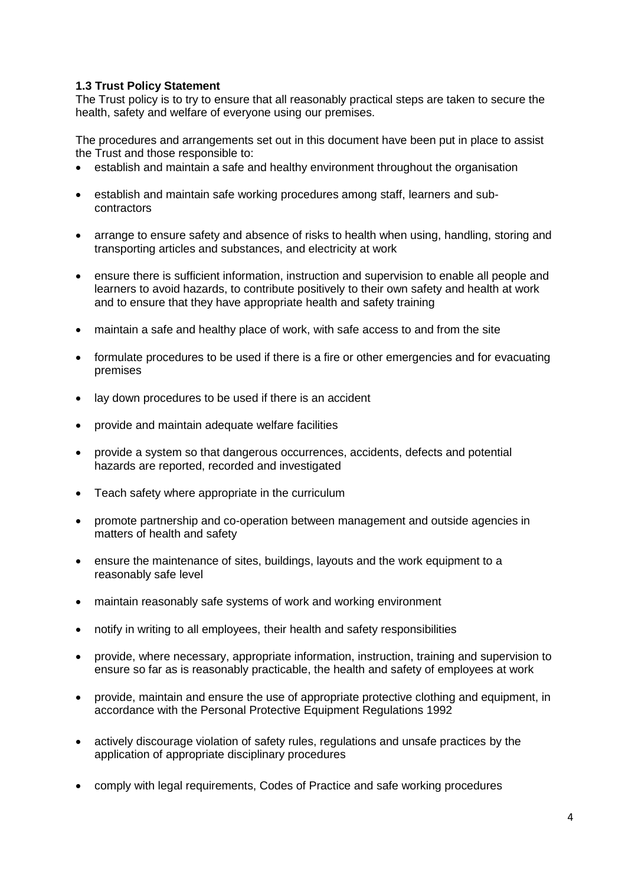# **1.3 Trust Policy Statement**

The Trust policy is to try to ensure that all reasonably practical steps are taken to secure the health, safety and welfare of everyone using our premises.

The procedures and arrangements set out in this document have been put in place to assist the Trust and those responsible to:

- establish and maintain a safe and healthy environment throughout the organisation
- establish and maintain safe working procedures among staff, learners and subcontractors
- arrange to ensure safety and absence of risks to health when using, handling, storing and transporting articles and substances, and electricity at work
- ensure there is sufficient information, instruction and supervision to enable all people and learners to avoid hazards, to contribute positively to their own safety and health at work and to ensure that they have appropriate health and safety training
- maintain a safe and healthy place of work, with safe access to and from the site
- formulate procedures to be used if there is a fire or other emergencies and for evacuating premises
- lay down procedures to be used if there is an accident
- provide and maintain adequate welfare facilities
- provide a system so that dangerous occurrences, accidents, defects and potential hazards are reported, recorded and investigated
- Teach safety where appropriate in the curriculum
- promote partnership and co-operation between management and outside agencies in matters of health and safety
- ensure the maintenance of sites, buildings, layouts and the work equipment to a reasonably safe level
- maintain reasonably safe systems of work and working environment
- notify in writing to all employees, their health and safety responsibilities
- provide, where necessary, appropriate information, instruction, training and supervision to ensure so far as is reasonably practicable, the health and safety of employees at work
- provide, maintain and ensure the use of appropriate protective clothing and equipment, in accordance with the Personal Protective Equipment Regulations 1992
- actively discourage violation of safety rules, regulations and unsafe practices by the application of appropriate disciplinary procedures
- comply with legal requirements, Codes of Practice and safe working procedures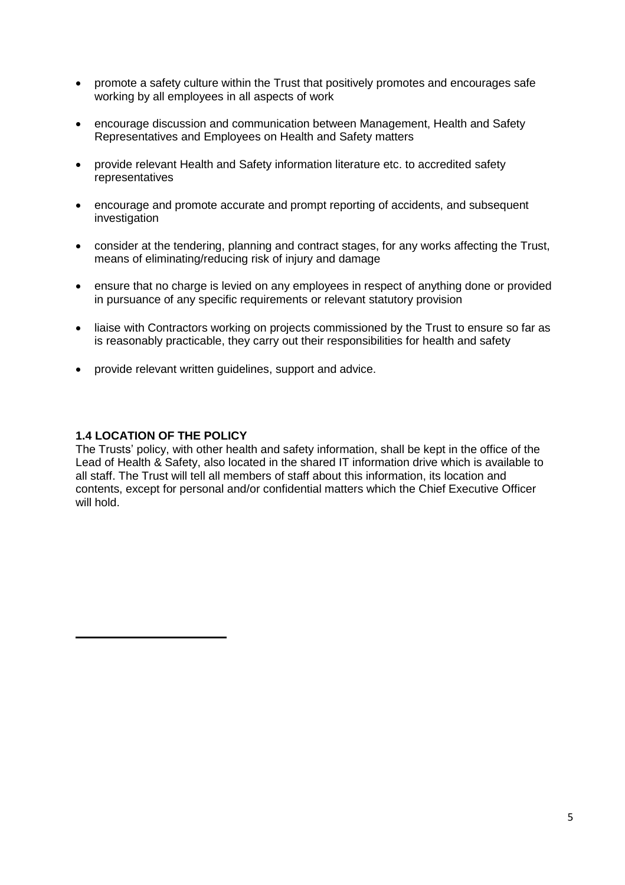- promote a safety culture within the Trust that positively promotes and encourages safe working by all employees in all aspects of work
- encourage discussion and communication between Management, Health and Safety Representatives and Employees on Health and Safety matters
- provide relevant Health and Safety information literature etc. to accredited safety representatives
- encourage and promote accurate and prompt reporting of accidents, and subsequent investigation
- consider at the tendering, planning and contract stages, for any works affecting the Trust, means of eliminating/reducing risk of injury and damage
- ensure that no charge is levied on any employees in respect of anything done or provided in pursuance of any specific requirements or relevant statutory provision
- liaise with Contractors working on projects commissioned by the Trust to ensure so far as is reasonably practicable, they carry out their responsibilities for health and safety
- provide relevant written guidelines, support and advice.

#### **1.4 LOCATION OF THE POLICY**

The Trusts' policy, with other health and safety information, shall be kept in the office of the Lead of Health & Safety, also located in the shared IT information drive which is available to all staff. The Trust will tell all members of staff about this information, its location and contents, except for personal and/or confidential matters which the Chief Executive Officer will hold.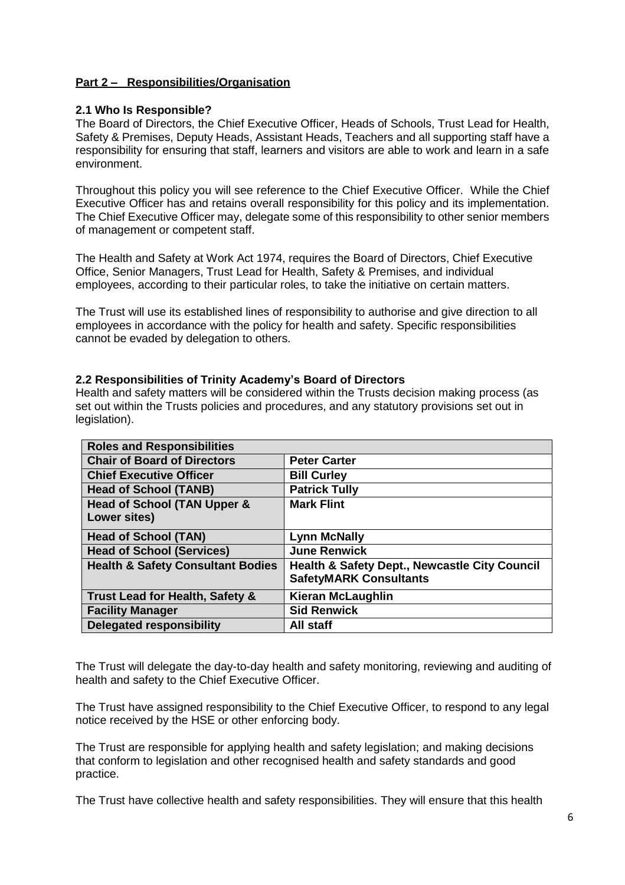# **Part 2 – Responsibilities/Organisation**

#### **2.1 Who Is Responsible?**

The Board of Directors, the Chief Executive Officer, Heads of Schools, Trust Lead for Health, Safety & Premises, Deputy Heads, Assistant Heads, Teachers and all supporting staff have a responsibility for ensuring that staff, learners and visitors are able to work and learn in a safe environment.

Throughout this policy you will see reference to the Chief Executive Officer. While the Chief Executive Officer has and retains overall responsibility for this policy and its implementation. The Chief Executive Officer may, delegate some of this responsibility to other senior members of management or competent staff.

The Health and Safety at Work Act 1974, requires the Board of Directors, Chief Executive Office, Senior Managers, Trust Lead for Health, Safety & Premises, and individual employees, according to their particular roles, to take the initiative on certain matters.

The Trust will use its established lines of responsibility to authorise and give direction to all employees in accordance with the policy for health and safety. Specific responsibilities cannot be evaded by delegation to others.

#### **2.2 Responsibilities of Trinity Academy's Board of Directors**

Health and safety matters will be considered within the Trusts decision making process (as set out within the Trusts policies and procedures, and any statutory provisions set out in legislation).

| <b>Roles and Responsibilities</b>            |                                                                                           |  |  |  |
|----------------------------------------------|-------------------------------------------------------------------------------------------|--|--|--|
| <b>Chair of Board of Directors</b>           | <b>Peter Carter</b>                                                                       |  |  |  |
| <b>Chief Executive Officer</b>               | <b>Bill Curley</b>                                                                        |  |  |  |
| <b>Head of School (TANB)</b>                 | <b>Patrick Tully</b>                                                                      |  |  |  |
| <b>Head of School (TAN Upper &amp;</b>       | <b>Mark Flint</b>                                                                         |  |  |  |
| Lower sites)                                 |                                                                                           |  |  |  |
| <b>Head of School (TAN)</b>                  | <b>Lynn McNally</b>                                                                       |  |  |  |
| <b>Head of School (Services)</b>             | <b>June Renwick</b>                                                                       |  |  |  |
| <b>Health &amp; Safety Consultant Bodies</b> | <b>Health &amp; Safety Dept., Newcastle City Council</b><br><b>SafetyMARK Consultants</b> |  |  |  |
| Trust Lead for Health, Safety &              | <b>Kieran McLaughlin</b>                                                                  |  |  |  |
| <b>Facility Manager</b>                      | <b>Sid Renwick</b>                                                                        |  |  |  |
| <b>Delegated responsibility</b>              | All staff                                                                                 |  |  |  |

The Trust will delegate the day-to-day health and safety monitoring, reviewing and auditing of health and safety to the Chief Executive Officer.

The Trust have assigned responsibility to the Chief Executive Officer, to respond to any legal notice received by the HSE or other enforcing body.

The Trust are responsible for applying health and safety legislation; and making decisions that conform to legislation and other recognised health and safety standards and good practice.

The Trust have collective health and safety responsibilities. They will ensure that this health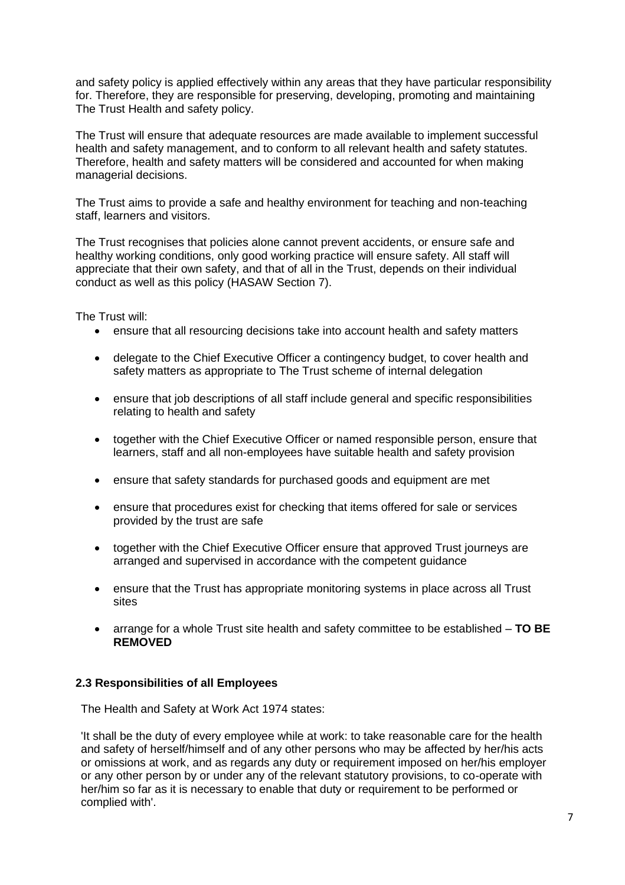and safety policy is applied effectively within any areas that they have particular responsibility for. Therefore, they are responsible for preserving, developing, promoting and maintaining The Trust Health and safety policy.

The Trust will ensure that adequate resources are made available to implement successful health and safety management, and to conform to all relevant health and safety statutes. Therefore, health and safety matters will be considered and accounted for when making managerial decisions.

The Trust aims to provide a safe and healthy environment for teaching and non-teaching staff, learners and visitors.

The Trust recognises that policies alone cannot prevent accidents, or ensure safe and healthy working conditions, only good working practice will ensure safety. All staff will appreciate that their own safety, and that of all in the Trust, depends on their individual conduct as well as this policy (HASAW Section 7).

The Trust will:

- ensure that all resourcing decisions take into account health and safety matters
- delegate to the Chief Executive Officer a contingency budget, to cover health and safety matters as appropriate to The Trust scheme of internal delegation
- ensure that job descriptions of all staff include general and specific responsibilities relating to health and safety
- together with the Chief Executive Officer or named responsible person, ensure that learners, staff and all non-employees have suitable health and safety provision
- ensure that safety standards for purchased goods and equipment are met
- ensure that procedures exist for checking that items offered for sale or services provided by the trust are safe
- together with the Chief Executive Officer ensure that approved Trust journeys are arranged and supervised in accordance with the competent guidance
- ensure that the Trust has appropriate monitoring systems in place across all Trust sites
- arrange for a whole Trust site health and safety committee to be established **TO BE REMOVED**

### **2.3 Responsibilities of all Employees**

The Health and Safety at Work Act 1974 states:

'It shall be the duty of every employee while at work: to take reasonable care for the health and safety of herself/himself and of any other persons who may be affected by her/his acts or omissions at work, and as regards any duty or requirement imposed on her/his employer or any other person by or under any of the relevant statutory provisions, to co-operate with her/him so far as it is necessary to enable that duty or requirement to be performed or complied with'.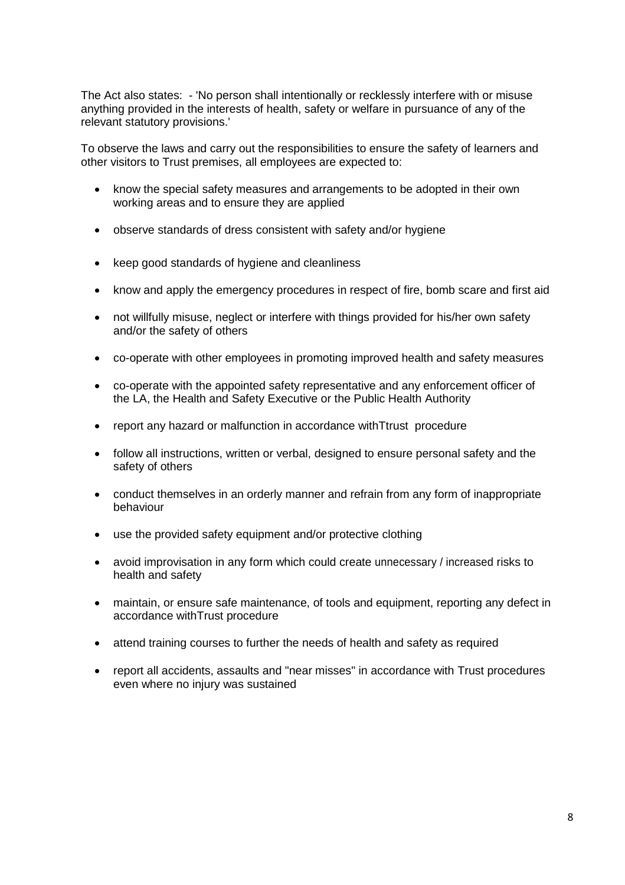The Act also states: - 'No person shall intentionally or recklessly interfere with or misuse anything provided in the interests of health, safety or welfare in pursuance of any of the relevant statutory provisions.'

To observe the laws and carry out the responsibilities to ensure the safety of learners and other visitors to Trust premises, all employees are expected to:

- know the special safety measures and arrangements to be adopted in their own working areas and to ensure they are applied
- observe standards of dress consistent with safety and/or hygiene
- keep good standards of hygiene and cleanliness
- know and apply the emergency procedures in respect of fire, bomb scare and first aid
- not willfully misuse, neglect or interfere with things provided for his/her own safety and/or the safety of others
- co-operate with other employees in promoting improved health and safety measures
- co-operate with the appointed safety representative and any enforcement officer of the LA, the Health and Safety Executive or the Public Health Authority
- report any hazard or malfunction in accordance withTtrust procedure
- follow all instructions, written or verbal, designed to ensure personal safety and the safety of others
- conduct themselves in an orderly manner and refrain from any form of inappropriate behaviour
- use the provided safety equipment and/or protective clothing
- avoid improvisation in any form which could create unnecessary / increased risks to health and safety
- maintain, or ensure safe maintenance, of tools and equipment, reporting any defect in accordance withTrust procedure
- attend training courses to further the needs of health and safety as required
- report all accidents, assaults and "near misses" in accordance with Trust procedures even where no injury was sustained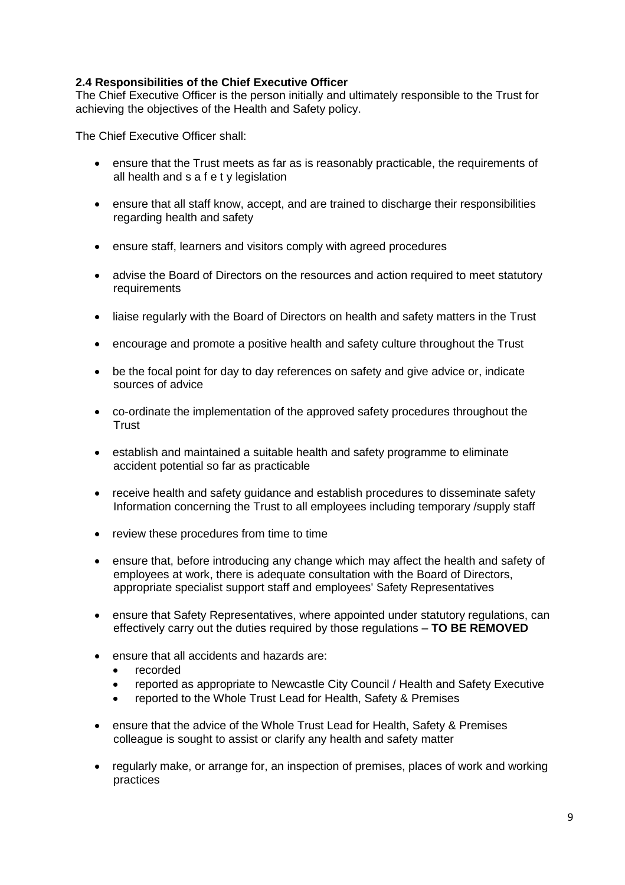# **2.4 Responsibilities of the Chief Executive Officer**

The Chief Executive Officer is the person initially and ultimately responsible to the Trust for achieving the objectives of the Health and Safety policy.

The Chief Executive Officer shall:

- ensure that the Trust meets as far as is reasonably practicable, the requirements of all health and s a f e t y legislation
- ensure that all staff know, accept, and are trained to discharge their responsibilities regarding health and safety
- ensure staff, learners and visitors comply with agreed procedures
- advise the Board of Directors on the resources and action required to meet statutory requirements
- liaise regularly with the Board of Directors on health and safety matters in the Trust
- encourage and promote a positive health and safety culture throughout the Trust
- be the focal point for day to day references on safety and give advice or, indicate sources of advice
- co-ordinate the implementation of the approved safety procedures throughout the **Trust**
- establish and maintained a suitable health and safety programme to eliminate accident potential so far as practicable
- receive health and safety guidance and establish procedures to disseminate safety Information concerning the Trust to all employees including temporary /supply staff
- review these procedures from time to time
- ensure that, before introducing any change which may affect the health and safety of employees at work, there is adequate consultation with the Board of Directors, appropriate specialist support staff and employees' Safety Representatives
- ensure that Safety Representatives, where appointed under statutory regulations, can effectively carry out the duties required by those regulations – **TO BE REMOVED**
- ensure that all accidents and hazards are:
	- recorded
	- reported as appropriate to Newcastle City Council / Health and Safety Executive
	- reported to the Whole Trust Lead for Health, Safety & Premises
- ensure that the advice of the Whole Trust Lead for Health, Safety & Premises colleague is sought to assist or clarify any health and safety matter
- regularly make, or arrange for, an inspection of premises, places of work and working practices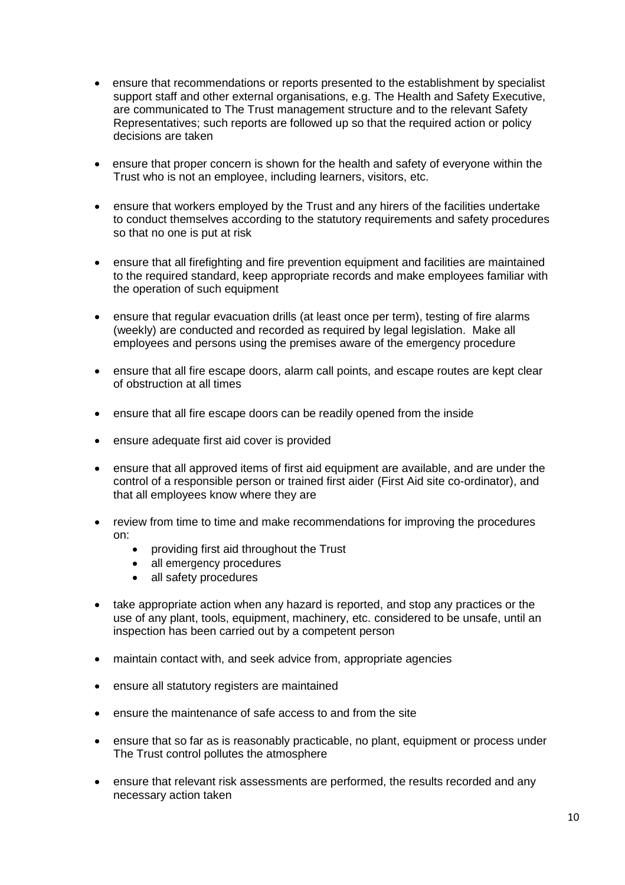- ensure that recommendations or reports presented to the establishment by specialist support staff and other external organisations, e.g. The Health and Safety Executive, are communicated to The Trust management structure and to the relevant Safety Representatives; such reports are followed up so that the required action or policy decisions are taken
- ensure that proper concern is shown for the health and safety of everyone within the Trust who is not an employee, including learners, visitors, etc.
- ensure that workers employed by the Trust and any hirers of the facilities undertake to conduct themselves according to the statutory requirements and safety procedures so that no one is put at risk
- ensure that all firefighting and fire prevention equipment and facilities are maintained to the required standard, keep appropriate records and make employees familiar with the operation of such equipment
- ensure that regular evacuation drills (at least once per term), testing of fire alarms (weekly) are conducted and recorded as required by legal legislation. Make all employees and persons using the premises aware of the emergency procedure
- ensure that all fire escape doors, alarm call points, and escape routes are kept clear of obstruction at all times
- ensure that all fire escape doors can be readily opened from the inside
- ensure adequate first aid cover is provided
- ensure that all approved items of first aid equipment are available, and are under the control of a responsible person or trained first aider (First Aid site co-ordinator), and that all employees know where they are
- review from time to time and make recommendations for improving the procedures on:
	- providing first aid throughout the Trust
	- all emergency procedures
	- all safety procedures
- take appropriate action when any hazard is reported, and stop any practices or the use of any plant, tools, equipment, machinery, etc. considered to be unsafe, until an inspection has been carried out by a competent person
- maintain contact with, and seek advice from, appropriate agencies
- ensure all statutory registers are maintained
- ensure the maintenance of safe access to and from the site
- ensure that so far as is reasonably practicable, no plant, equipment or process under The Trust control pollutes the atmosphere
- ensure that relevant risk assessments are performed, the results recorded and any necessary action taken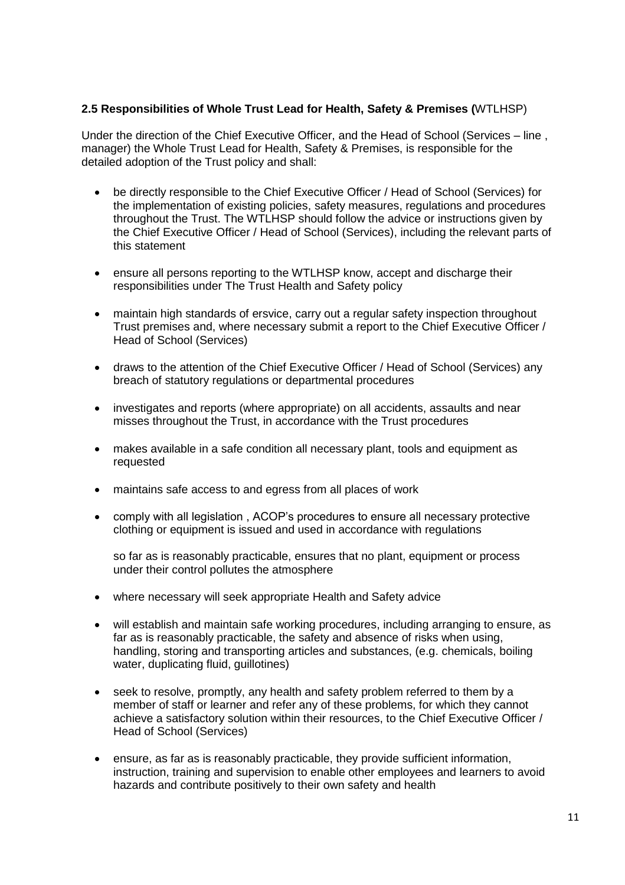# **2.5 Responsibilities of Whole Trust Lead for Health, Safety & Premises (**WTLHSP)

Under the direction of the Chief Executive Officer, and the Head of School (Services – line , manager) the Whole Trust Lead for Health, Safety & Premises, is responsible for the detailed adoption of the Trust policy and shall:

- be directly responsible to the Chief Executive Officer / Head of School (Services) for the implementation of existing policies, safety measures, regulations and procedures throughout the Trust. The WTLHSP should follow the advice or instructions given by the Chief Executive Officer / Head of School (Services), including the relevant parts of this statement
- ensure all persons reporting to the WTLHSP know, accept and discharge their responsibilities under The Trust Health and Safety policy
- maintain high standards of ersvice, carry out a regular safety inspection throughout Trust premises and, where necessary submit a report to the Chief Executive Officer / Head of School (Services)
- draws to the attention of the Chief Executive Officer / Head of School (Services) any breach of statutory regulations or departmental procedures
- investigates and reports (where appropriate) on all accidents, assaults and near misses throughout the Trust, in accordance with the Trust procedures
- makes available in a safe condition all necessary plant, tools and equipment as requested
- maintains safe access to and egress from all places of work
- comply with all legislation , ACOP's procedures to ensure all necessary protective clothing or equipment is issued and used in accordance with regulations

so far as is reasonably practicable, ensures that no plant, equipment or process under their control pollutes the atmosphere

- where necessary will seek appropriate Health and Safety advice
- will establish and maintain safe working procedures, including arranging to ensure, as far as is reasonably practicable, the safety and absence of risks when using, handling, storing and transporting articles and substances, (e.g. chemicals, boiling water, duplicating fluid, guillotines)
- seek to resolve, promptly, any health and safety problem referred to them by a member of staff or learner and refer any of these problems, for which they cannot achieve a satisfactory solution within their resources, to the Chief Executive Officer / Head of School (Services)
- ensure, as far as is reasonably practicable, they provide sufficient information, instruction, training and supervision to enable other employees and learners to avoid hazards and contribute positively to their own safety and health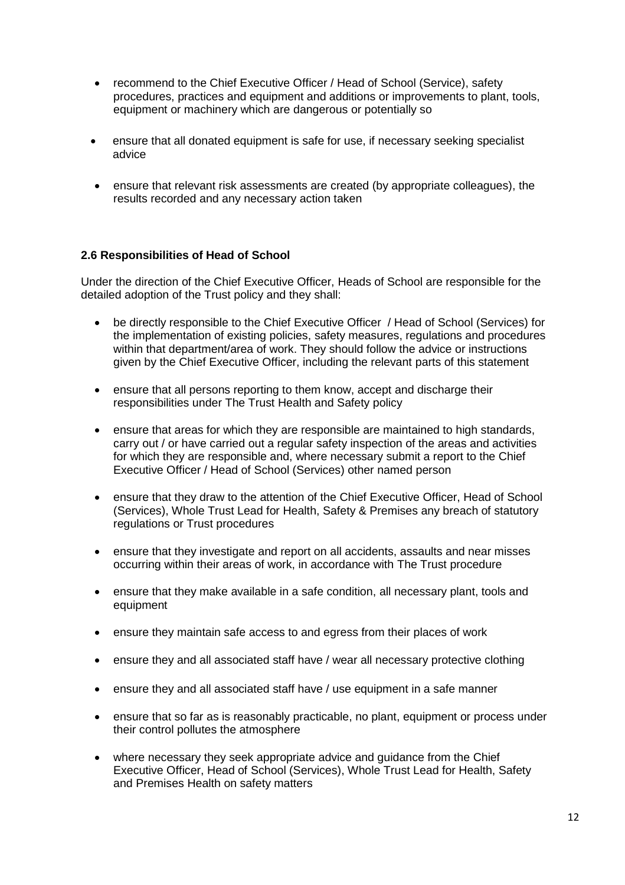- recommend to the Chief Executive Officer / Head of School (Service), safety procedures, practices and equipment and additions or improvements to plant, tools, equipment or machinery which are dangerous or potentially so
- ensure that all donated equipment is safe for use, if necessary seeking specialist advice
- ensure that relevant risk assessments are created (by appropriate colleagues), the results recorded and any necessary action taken

# **2.6 Responsibilities of Head of School**

Under the direction of the Chief Executive Officer, Heads of School are responsible for the detailed adoption of the Trust policy and they shall:

- be directly responsible to the Chief Executive Officer / Head of School (Services) for the implementation of existing policies, safety measures, regulations and procedures within that department/area of work. They should follow the advice or instructions given by the Chief Executive Officer, including the relevant parts of this statement
- ensure that all persons reporting to them know, accept and discharge their responsibilities under The Trust Health and Safety policy
- ensure that areas for which they are responsible are maintained to high standards, carry out / or have carried out a regular safety inspection of the areas and activities for which they are responsible and, where necessary submit a report to the Chief Executive Officer / Head of School (Services) other named person
- ensure that they draw to the attention of the Chief Executive Officer, Head of School (Services), Whole Trust Lead for Health, Safety & Premises any breach of statutory regulations or Trust procedures
- ensure that they investigate and report on all accidents, assaults and near misses occurring within their areas of work, in accordance with The Trust procedure
- ensure that they make available in a safe condition, all necessary plant, tools and equipment
- ensure they maintain safe access to and egress from their places of work
- ensure they and all associated staff have / wear all necessary protective clothing
- ensure they and all associated staff have / use equipment in a safe manner
- ensure that so far as is reasonably practicable, no plant, equipment or process under their control pollutes the atmosphere
- where necessary they seek appropriate advice and guidance from the Chief Executive Officer, Head of School (Services), Whole Trust Lead for Health, Safety and Premises Health on safety matters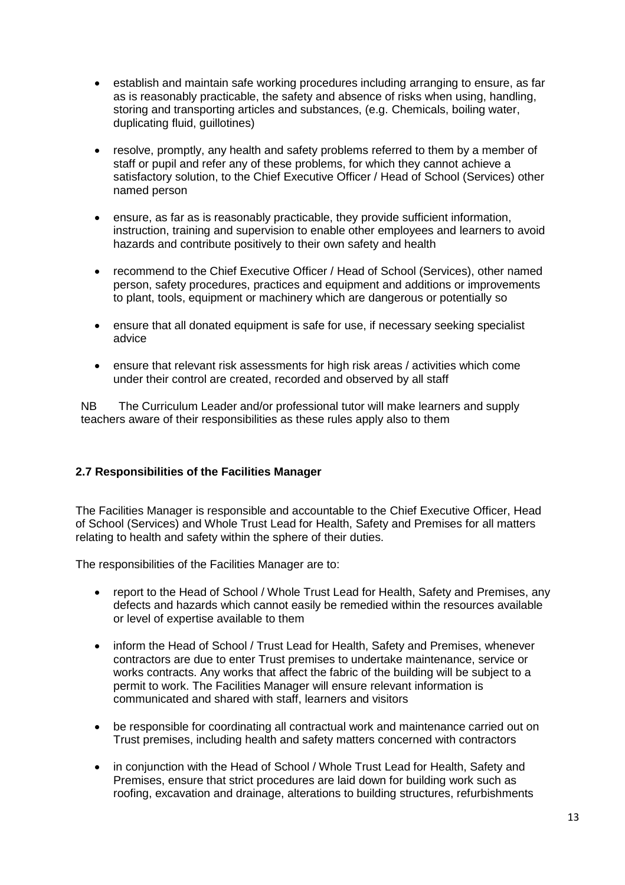- establish and maintain safe working procedures including arranging to ensure, as far as is reasonably practicable, the safety and absence of risks when using, handling, storing and transporting articles and substances, (e.g. Chemicals, boiling water, duplicating fluid, guillotines)
- resolve, promptly, any health and safety problems referred to them by a member of staff or pupil and refer any of these problems, for which they cannot achieve a satisfactory solution, to the Chief Executive Officer / Head of School (Services) other named person
- ensure, as far as is reasonably practicable, they provide sufficient information, instruction, training and supervision to enable other employees and learners to avoid hazards and contribute positively to their own safety and health
- recommend to the Chief Executive Officer / Head of School (Services), other named person, safety procedures, practices and equipment and additions or improvements to plant, tools, equipment or machinery which are dangerous or potentially so
- ensure that all donated equipment is safe for use, if necessary seeking specialist advice
- ensure that relevant risk assessments for high risk areas / activities which come under their control are created, recorded and observed by all staff

NB The Curriculum Leader and/or professional tutor will make learners and supply teachers aware of their responsibilities as these rules apply also to them

### **2.7 Responsibilities of the Facilities Manager**

The Facilities Manager is responsible and accountable to the Chief Executive Officer, Head of School (Services) and Whole Trust Lead for Health, Safety and Premises for all matters relating to health and safety within the sphere of their duties.

The responsibilities of the Facilities Manager are to:

- report to the Head of School / Whole Trust Lead for Health, Safety and Premises, any defects and hazards which cannot easily be remedied within the resources available or level of expertise available to them
- inform the Head of School / Trust Lead for Health, Safety and Premises, whenever contractors are due to enter Trust premises to undertake maintenance, service or works contracts. Any works that affect the fabric of the building will be subject to a permit to work. The Facilities Manager will ensure relevant information is communicated and shared with staff, learners and visitors
- be responsible for coordinating all contractual work and maintenance carried out on Trust premises, including health and safety matters concerned with contractors
- in conjunction with the Head of School / Whole Trust Lead for Health, Safety and Premises, ensure that strict procedures are laid down for building work such as roofing, excavation and drainage, alterations to building structures, refurbishments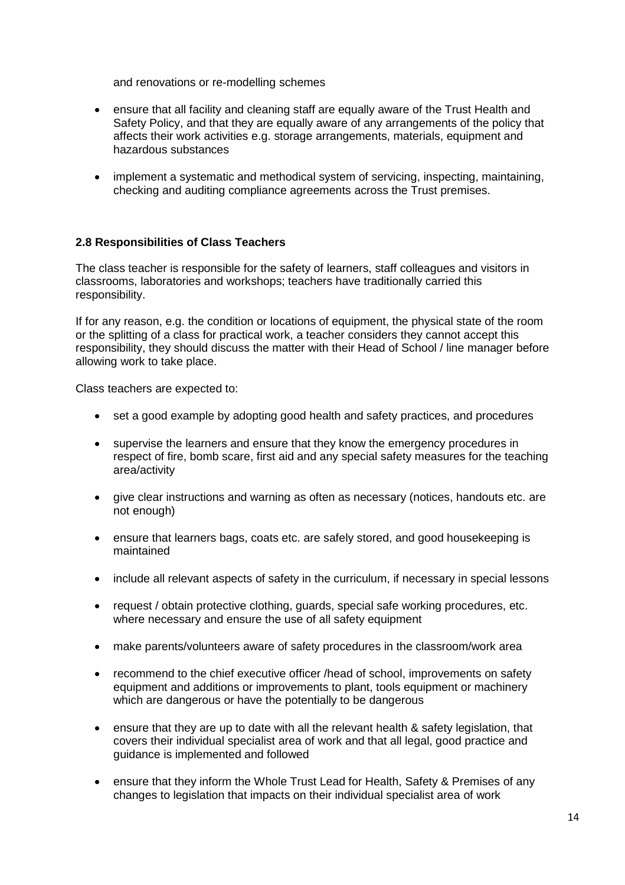and renovations or re-modelling schemes

- ensure that all facility and cleaning staff are equally aware of the Trust Health and Safety Policy, and that they are equally aware of any arrangements of the policy that affects their work activities e.g. storage arrangements, materials, equipment and hazardous substances
- implement a systematic and methodical system of servicing, inspecting, maintaining, checking and auditing compliance agreements across the Trust premises.

# **2.8 Responsibilities of Class Teachers**

The class teacher is responsible for the safety of learners, staff colleagues and visitors in classrooms, laboratories and workshops; teachers have traditionally carried this responsibility.

If for any reason, e.g. the condition or locations of equipment, the physical state of the room or the splitting of a class for practical work, a teacher considers they cannot accept this responsibility, they should discuss the matter with their Head of School / line manager before allowing work to take place.

Class teachers are expected to:

- set a good example by adopting good health and safety practices, and procedures
- supervise the learners and ensure that they know the emergency procedures in respect of fire, bomb scare, first aid and any special safety measures for the teaching area/activity
- give clear instructions and warning as often as necessary (notices, handouts etc. are not enough)
- ensure that learners bags, coats etc. are safely stored, and good housekeeping is maintained
- include all relevant aspects of safety in the curriculum, if necessary in special lessons
- request / obtain protective clothing, guards, special safe working procedures, etc. where necessary and ensure the use of all safety equipment
- make parents/volunteers aware of safety procedures in the classroom/work area
- recommend to the chief executive officer /head of school, improvements on safety equipment and additions or improvements to plant, tools equipment or machinery which are dangerous or have the potentially to be dangerous
- ensure that they are up to date with all the relevant health & safety legislation, that covers their individual specialist area of work and that all legal, good practice and guidance is implemented and followed
- ensure that they inform the Whole Trust Lead for Health, Safety & Premises of any changes to legislation that impacts on their individual specialist area of work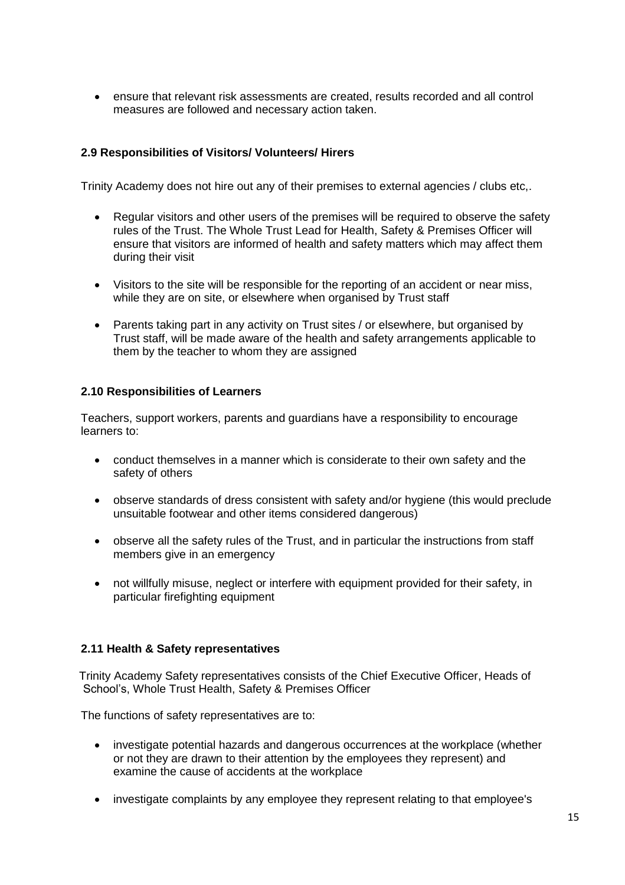ensure that relevant risk assessments are created, results recorded and all control measures are followed and necessary action taken.

# **2.9 Responsibilities of Visitors/ Volunteers/ Hirers**

Trinity Academy does not hire out any of their premises to external agencies / clubs etc,.

- Regular visitors and other users of the premises will be required to observe the safety rules of the Trust. The Whole Trust Lead for Health, Safety & Premises Officer will ensure that visitors are informed of health and safety matters which may affect them during their visit
- Visitors to the site will be responsible for the reporting of an accident or near miss, while they are on site, or elsewhere when organised by Trust staff
- Parents taking part in any activity on Trust sites / or elsewhere, but organised by Trust staff, will be made aware of the health and safety arrangements applicable to them by the teacher to whom they are assigned

# **2.10 Responsibilities of Learners**

Teachers, support workers, parents and guardians have a responsibility to encourage learners to:

- conduct themselves in a manner which is considerate to their own safety and the safety of others
- observe standards of dress consistent with safety and/or hygiene (this would preclude unsuitable footwear and other items considered dangerous)
- observe all the safety rules of the Trust, and in particular the instructions from staff members give in an emergency
- not willfully misuse, neglect or interfere with equipment provided for their safety, in particular firefighting equipment

# **2.11 Health & Safety representatives**

Trinity Academy Safety representatives consists of the Chief Executive Officer, Heads of School's, Whole Trust Health, Safety & Premises Officer

The functions of safety representatives are to:

- investigate potential hazards and dangerous occurrences at the workplace (whether or not they are drawn to their attention by the employees they represent) and examine the cause of accidents at the workplace
- investigate complaints by any employee they represent relating to that employee's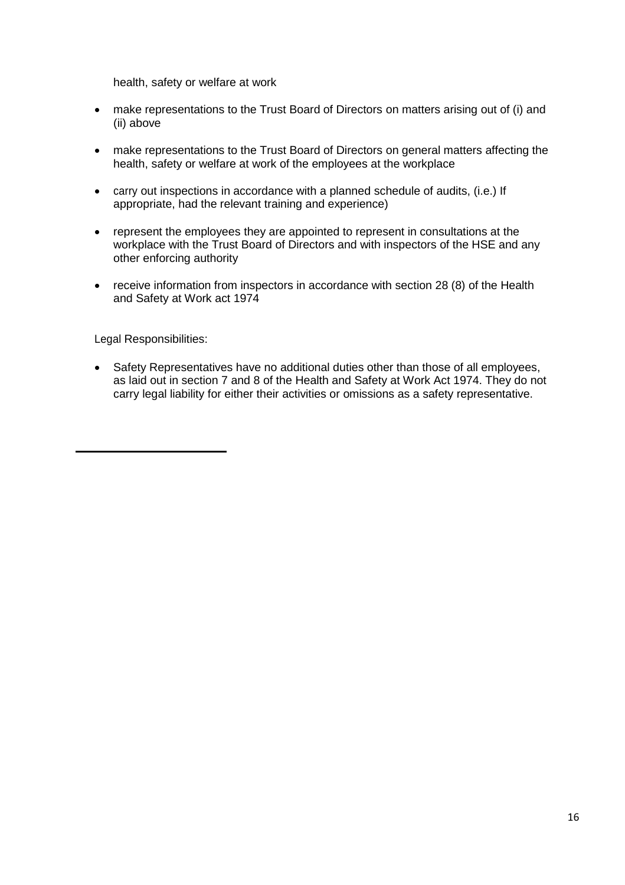health, safety or welfare at work

- make representations to the Trust Board of Directors on matters arising out of (i) and (ii) above
- make representations to the Trust Board of Directors on general matters affecting the health, safety or welfare at work of the employees at the workplace
- carry out inspections in accordance with a planned schedule of audits, (i.e.) If appropriate, had the relevant training and experience)
- represent the employees they are appointed to represent in consultations at the workplace with the Trust Board of Directors and with inspectors of the HSE and any other enforcing authority
- receive information from inspectors in accordance with section 28 (8) of the Health and Safety at Work act 1974

Legal Responsibilities:

• Safety Representatives have no additional duties other than those of all employees, as laid out in section 7 and 8 of the Health and Safety at Work Act 1974. They do not carry legal liability for either their activities or omissions as a safety representative.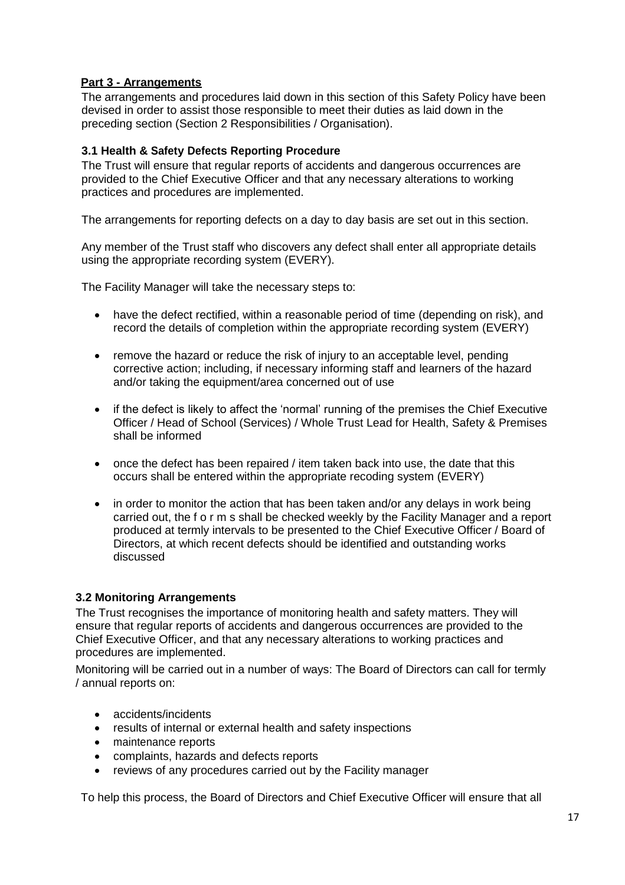# **Part 3 - Arrangements**

The arrangements and procedures laid down in this section of this Safety Policy have been devised in order to assist those responsible to meet their duties as laid down in the preceding section (Section 2 Responsibilities / Organisation).

# **3.1 Health & Safety Defects Reporting Procedure**

The Trust will ensure that regular reports of accidents and dangerous occurrences are provided to the Chief Executive Officer and that any necessary alterations to working practices and procedures are implemented.

The arrangements for reporting defects on a day to day basis are set out in this section.

Any member of the Trust staff who discovers any defect shall enter all appropriate details using the appropriate recording system (EVERY).

The Facility Manager will take the necessary steps to:

- have the defect rectified, within a reasonable period of time (depending on risk), and record the details of completion within the appropriate recording system (EVERY)
- remove the hazard or reduce the risk of injury to an acceptable level, pending corrective action; including, if necessary informing staff and learners of the hazard and/or taking the equipment/area concerned out of use
- if the defect is likely to affect the 'normal' running of the premises the Chief Executive Officer / Head of School (Services) / Whole Trust Lead for Health, Safety & Premises shall be informed
- once the defect has been repaired / item taken back into use, the date that this occurs shall be entered within the appropriate recoding system (EVERY)
- in order to monitor the action that has been taken and/or any delays in work being carried out, the f o r m s shall be checked weekly by the Facility Manager and a report produced at termly intervals to be presented to the Chief Executive Officer / Board of Directors, at which recent defects should be identified and outstanding works discussed

# **3.2 Monitoring Arrangements**

The Trust recognises the importance of monitoring health and safety matters. They will ensure that regular reports of accidents and dangerous occurrences are provided to the Chief Executive Officer, and that any necessary alterations to working practices and procedures are implemented.

Monitoring will be carried out in a number of ways: The Board of Directors can call for termly / annual reports on:

- accidents/incidents
- results of internal or external health and safety inspections
- maintenance reports
- complaints, hazards and defects reports
- reviews of any procedures carried out by the Facility manager

To help this process, the Board of Directors and Chief Executive Officer will ensure that all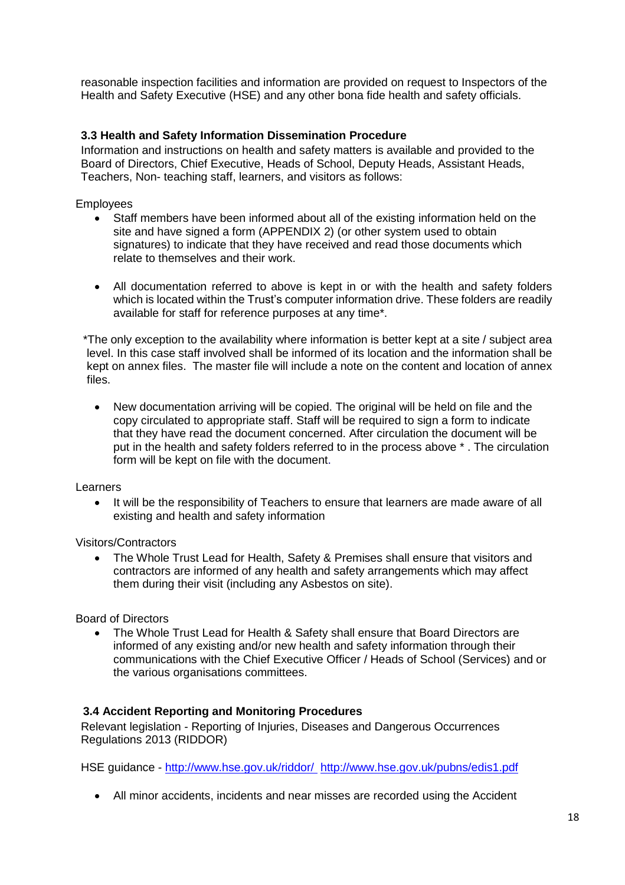reasonable inspection facilities and information are provided on request to Inspectors of the Health and Safety Executive (HSE) and any other bona fide health and safety officials.

# **3.3 Health and Safety Information Dissemination Procedure**

Information and instructions on health and safety matters is available and provided to the Board of Directors, Chief Executive, Heads of School, Deputy Heads, Assistant Heads, Teachers, Non- teaching staff, learners, and visitors as follows:

Employees

- Staff members have been informed about all of the existing information held on the site and have signed a form (APPENDIX 2) (or other system used to obtain signatures) to indicate that they have received and read those documents which relate to themselves and their work.
- All documentation referred to above is kept in or with the health and safety folders which is located within the Trust's computer information drive. These folders are readily available for staff for reference purposes at any time\*.

\*The only exception to the availability where information is better kept at a site / subject area level. In this case staff involved shall be informed of its location and the information shall be kept on annex files. The master file will include a note on the content and location of annex files.

 New documentation arriving will be copied. The original will be held on file and the copy circulated to appropriate staff. Staff will be required to sign a form to indicate that they have read the document concerned. After circulation the document will be put in the health and safety folders referred to in the process above \* . The circulation form will be kept on file with the document.

#### **Learners**

• It will be the responsibility of Teachers to ensure that learners are made aware of all existing and health and safety information

Visitors/Contractors

 The Whole Trust Lead for Health, Safety & Premises shall ensure that visitors and contractors are informed of any health and safety arrangements which may affect them during their visit (including any Asbestos on site).

Board of Directors

• The Whole Trust Lead for Health & Safety shall ensure that Board Directors are informed of any existing and/or new health and safety information through their communications with the Chief Executive Officer / Heads of School (Services) and or the various organisations committees.

### **3.4 Accident Reporting and Monitoring Procedures**

Relevant legislation - Reporting of Injuries, Diseases and Dangerous Occurrences Regulations 2013 (RIDDOR)

HSE guidance - [http://www.hse.gov.uk/riddor/ http://www.hse.gov.uk/pubns/edis1.pdf](http://www.hse.gov.uk/riddor/)

All minor accidents, incidents and near misses are recorded using the Accident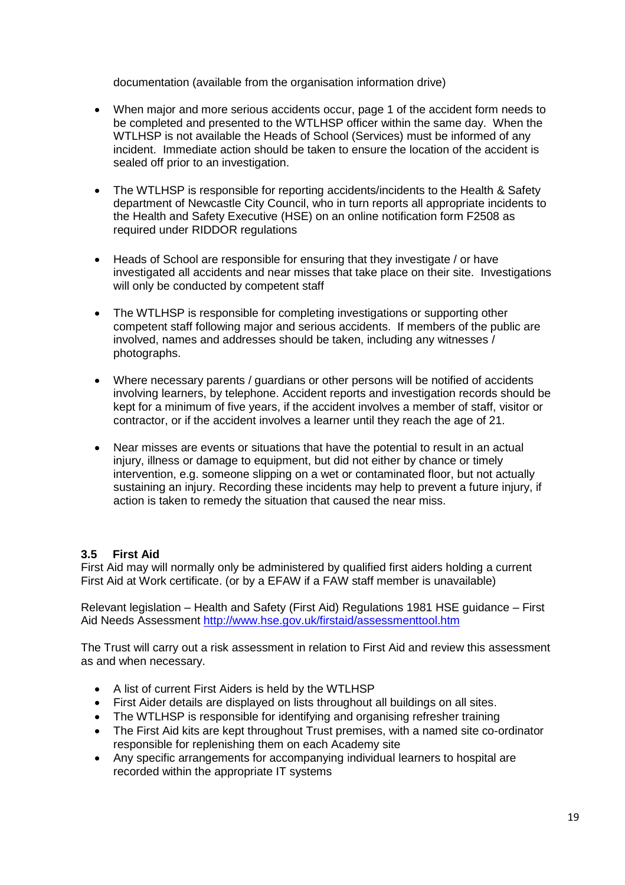documentation (available from the organisation information drive)

- When major and more serious accidents occur, page 1 of the accident form needs to be completed and presented to the WTLHSP officer within the same day. When the WTLHSP is not available the Heads of School (Services) must be informed of any incident. Immediate action should be taken to ensure the location of the accident is sealed off prior to an investigation.
- The WTLHSP is responsible for reporting accidents/incidents to the Health & Safety department of Newcastle City Council, who in turn reports all appropriate incidents to the Health and Safety Executive (HSE) on an online notification form F2508 as required under RIDDOR regulations
- Heads of School are responsible for ensuring that they investigate / or have investigated all accidents and near misses that take place on their site. Investigations will only be conducted by competent staff
- The WTLHSP is responsible for completing investigations or supporting other competent staff following major and serious accidents. If members of the public are involved, names and addresses should be taken, including any witnesses / photographs.
- Where necessary parents / guardians or other persons will be notified of accidents involving learners, by telephone. Accident reports and investigation records should be kept for a minimum of five years, if the accident involves a member of staff, visitor or contractor, or if the accident involves a learner until they reach the age of 21.
- Near misses are events or situations that have the potential to result in an actual injury, illness or damage to equipment, but did not either by chance or timely intervention, e.g. someone slipping on a wet or contaminated floor, but not actually sustaining an injury. Recording these incidents may help to prevent a future injury, if action is taken to remedy the situation that caused the near miss.

# **3.5 First Aid**

First Aid may will normally only be administered by qualified first aiders holding a current First Aid at Work certificate. (or by a EFAW if a FAW staff member is unavailable)

Relevant legislation – Health and Safety (First Aid) Regulations 1981 HSE guidance – First Aid Needs Assessment <http://www.hse.gov.uk/firstaid/assessmenttool.htm>

The Trust will carry out a risk assessment in relation to First Aid and review this assessment as and when necessary.

- A list of current First Aiders is held by the WTLHSP
- First Aider details are displayed on lists throughout all buildings on all sites.
- The WTLHSP is responsible for identifying and organising refresher training
- The First Aid kits are kept throughout Trust premises, with a named site co-ordinator responsible for replenishing them on each Academy site
- Any specific arrangements for accompanying individual learners to hospital are recorded within the appropriate IT systems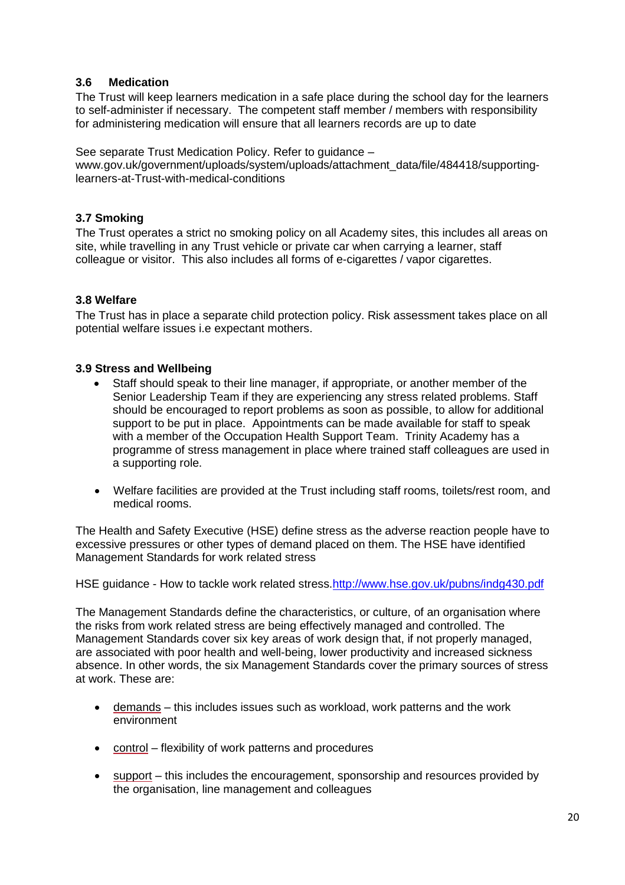# **3.6 Medication**

The Trust will keep learners medication in a safe place during the school day for the learners to self-administer if necessary. The competent staff member / members with responsibility for administering medication will ensure that all learners records are up to date

See separate Trust Medication Policy. Refer to guidance –

[www.gov.uk/government/uploads/system/uploads/attachment\\_data/file/484418/suppor](http://www.gov.uk/government/uploads/system/uploads/attachment_data/file/484418/suppo)tinglearners-at-Trust-with-medical-conditions

# **3.7 Smoking**

The Trust operates a strict no smoking policy on all Academy sites, this includes all areas on site, while travelling in any Trust vehicle or private car when carrying a learner, staff colleague or visitor. This also includes all forms of e-cigarettes / vapor cigarettes.

# **3.8 Welfare**

The Trust has in place a separate child protection policy. Risk assessment takes place on all potential welfare issues i.e expectant mothers.

### **3.9 Stress and Wellbeing**

- Staff should speak to their line manager, if appropriate, or another member of the Senior Leadership Team if they are experiencing any stress related problems. Staff should be encouraged to report problems as soon as possible, to allow for additional support to be put in place. Appointments can be made available for staff to speak with a member of the Occupation Health Support Team. Trinity Academy has a programme of stress management in place where trained staff colleagues are used in a supporting role.
- Welfare facilities are provided at the Trust including staff rooms, toilets/rest room, and medical rooms.

The Health and Safety Executive (HSE) define stress as the adverse reaction people have to excessive pressures or other types of demand placed on them. The HSE have identified Management Standards for work related stress

HSE guidance - How to tackle work related stress[.http://www.hse.gov.uk/pubns/indg430.pdf](http://www.hse.gov.uk/pubns/indg430.pdf)

The Management Standards define the characteristics, or culture, of an organisation where the risks from work related stress are being effectively managed and controlled. The Management Standards cover six key areas of work design that, if not properly managed, are associated with poor health and well-being, lower productivity and increased sickness absence. In other words, the six Management Standards cover the primary sources of stress at work. These are:

- [demands](http://www.hse.gov.uk/stress/standards/demands.htm) this includes issues such as workload, work patterns and the work environment
- [control](http://www.hse.gov.uk/stress/standards/control.htm) flexibility of work patterns and procedures
- [support](http://www.hse.gov.uk/stress/standards/support.htm) this includes the encouragement, sponsorship and resources provided by the organisation, line management and colleagues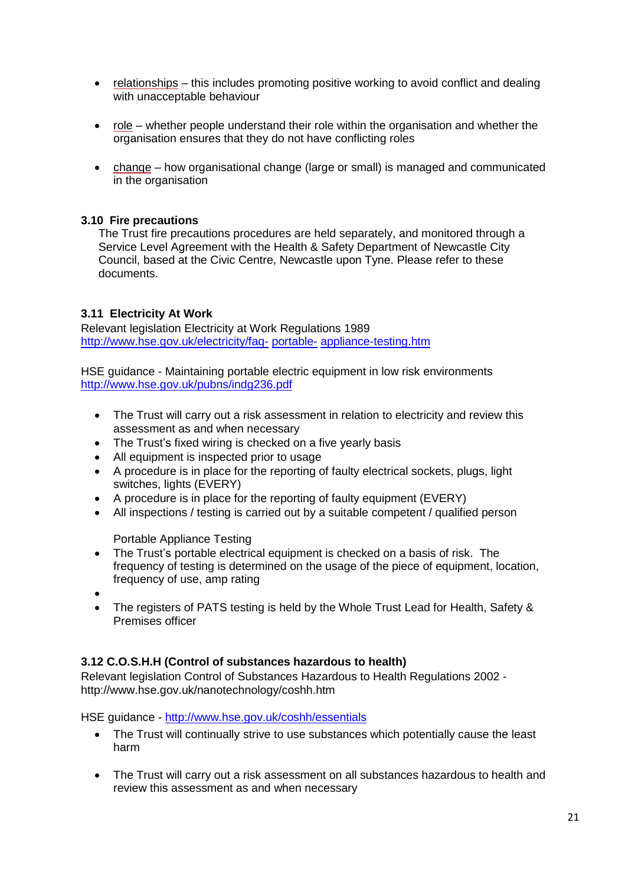- [relationships](http://www.hse.gov.uk/stress/standards/relationships.htm) this includes promoting positive working to avoid conflict and dealing with unacceptable behaviour
- [role](http://www.hse.gov.uk/stress/standards/role.htm) whether people understand their role within the organisation and whether the organisation ensures that they do not have conflicting roles
- [change](http://www.hse.gov.uk/stress/standards/change.htm) how organisational change (large or small) is managed and communicated in the organisation

### **3.10 Fire precautions**

The Trust fire precautions procedures are held separately, and monitored through a Service Level Agreement with the Health & Safety Department of Newcastle City Council, based at the Civic Centre, Newcastle upon Tyne. Please refer to these documents.

# **3.11 Electricity At Work**

Relevant legislation Electricity at Work Regulations 1989 [http://www.hse.gov.uk/electricity/faq-](http://www.hse.gov.uk/electricity/faq-portable-appliance-testing.htm) [portable-](http://www.hse.gov.uk/electricity/faq-portable-appliance-testing.htm) [appliance-testing.htm](http://www.hse.gov.uk/electricity/faq-portable-appliance-testing.htm)

HSE guidance - Maintaining portable electric equipment in low risk environments <http://www.hse.gov.uk/pubns/indg236.pdf>

- The Trust will carry out a risk assessment in relation to electricity and review this assessment as and when necessary
- The Trust's fixed wiring is checked on a five yearly basis
- All equipment is inspected prior to usage
- A procedure is in place for the reporting of faulty electrical sockets, plugs, light switches, lights (EVERY)
- A procedure is in place for the reporting of faulty equipment (EVERY)
- All inspections / testing is carried out by a suitable competent / qualified person

Portable Appliance Testing

- The Trust's portable electrical equipment is checked on a basis of risk. The frequency of testing is determined on the usage of the piece of equipment, location, frequency of use, amp rating
- $\bullet$
- The registers of PATS testing is held by the Whole Trust Lead for Health, Safety & Premises officer

# **3.12 C.O.S.H.H (Control of substances hazardous to health)**

Relevant legislation Control of Substances Hazardous to Health Regulations 2002  <http://www.hse.gov.uk/nanotechnology/coshh.htm>

HSE guidance - <http://www.hse.gov.uk/coshh/essentials>

- The Trust will continually strive to use substances which potentially cause the least harm
- The Trust will carry out a risk assessment on all substances hazardous to health and review this assessment as and when necessary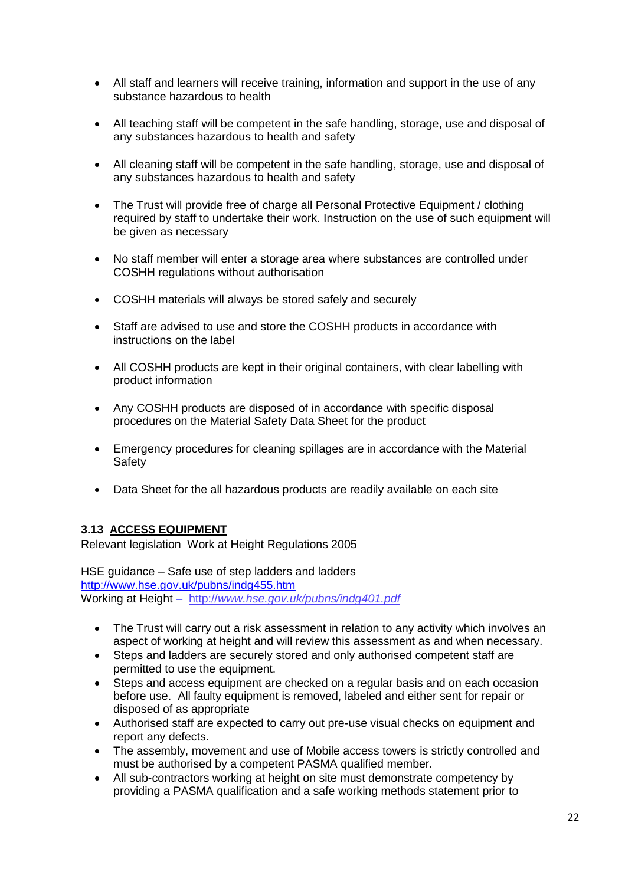- All staff and learners will receive training, information and support in the use of any substance hazardous to health
- All teaching staff will be competent in the safe handling, storage, use and disposal of any substances hazardous to health and safety
- All cleaning staff will be competent in the safe handling, storage, use and disposal of any substances hazardous to health and safety
- The Trust will provide free of charge all Personal Protective Equipment / clothing required by staff to undertake their work. Instruction on the use of such equipment will be given as necessary
- No staff member will enter a storage area where substances are controlled under COSHH regulations without authorisation
- COSHH materials will always be stored safely and securely
- Staff are advised to use and store the COSHH products in accordance with instructions on the label
- All COSHH products are kept in their original containers, with clear labelling with product information
- Any COSHH products are disposed of in accordance with specific disposal procedures on the Material Safety Data Sheet for the product
- Emergency procedures for cleaning spillages are in accordance with the Material Safety
- Data Sheet for the all hazardous products are readily available on each site

### **3.13 ACCESS EQUIPMENT**

Relevant legislation Work at Height Regulations 2005

HSE guidance – Safe use of step ladders and ladders <http://www.hse.gov.uk/pubns/indg455.htm> Working at Height – http://*[www.hse.gov.uk/pubns/indg401.pdf](http://www.hse.gov.uk/pubns/indg401.pdf)*

- The Trust will carry out a risk assessment in relation to any activity which involves an aspect of working at height and will review this assessment as and when necessary.
- Steps and ladders are securely stored and only authorised competent staff are permitted to use the equipment.
- Steps and access equipment are checked on a regular basis and on each occasion before use. All faulty equipment is removed, labeled and either sent for repair or disposed of as appropriate
- Authorised staff are expected to carry out pre-use visual checks on equipment and report any defects.
- The assembly, movement and use of Mobile access towers is strictly controlled and must be authorised by a competent PASMA qualified member.
- All sub-contractors working at height on site must demonstrate competency by providing a PASMA qualification and a safe working methods statement prior to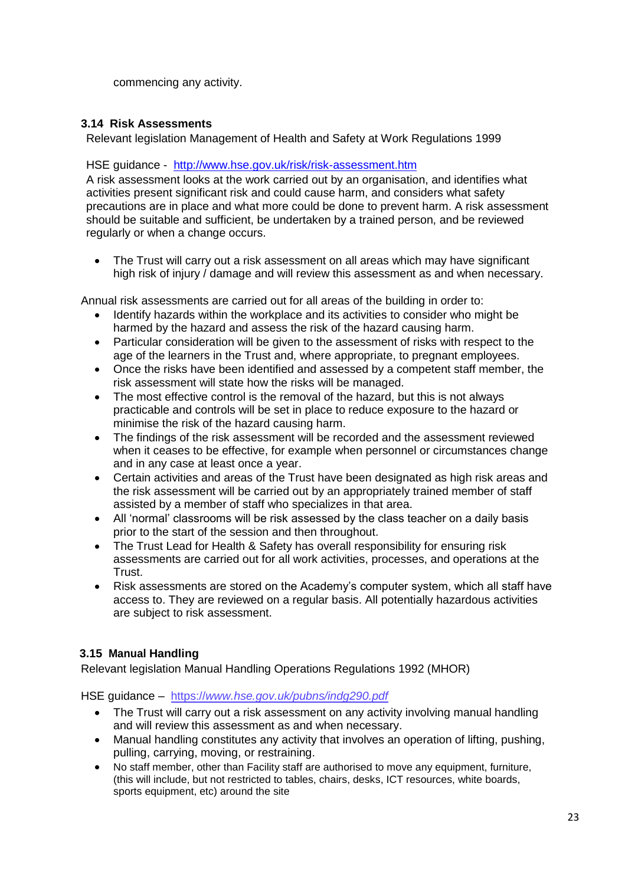commencing any activity.

# **3.14 Risk Assessments**

Relevant legislation Management of Health and Safety at Work Regulations 1999

# HSE guidance - <http://www.hse.gov.uk/risk/risk-assessment.htm>

A risk assessment looks at the work carried out by an organisation, and identifies what activities present significant risk and could cause harm, and considers what safety precautions are in place and what more could be done to prevent harm. A risk assessment should be suitable and sufficient, be undertaken by a trained person, and be reviewed regularly or when a change occurs.

 The Trust will carry out a risk assessment on all areas which may have significant high risk of injury / damage and will review this assessment as and when necessary.

Annual risk assessments are carried out for all areas of the building in order to:

- Identify hazards within the workplace and its activities to consider who might be harmed by the hazard and assess the risk of the hazard causing harm.
- Particular consideration will be given to the assessment of risks with respect to the age of the learners in the Trust and, where appropriate, to pregnant employees.
- Once the risks have been identified and assessed by a competent staff member, the risk assessment will state how the risks will be managed.
- The most effective control is the removal of the hazard, but this is not always practicable and controls will be set in place to reduce exposure to the hazard or minimise the risk of the hazard causing harm.
- The findings of the risk assessment will be recorded and the assessment reviewed when it ceases to be effective, for example when personnel or circumstances change and in any case at least once a year.
- Certain activities and areas of the Trust have been designated as high risk areas and the risk assessment will be carried out by an appropriately trained member of staff assisted by a member of staff who specializes in that area.
- All 'normal' classrooms will be risk assessed by the class teacher on a daily basis prior to the start of the session and then throughout.
- The Trust Lead for Health & Safety has overall responsibility for ensuring risk assessments are carried out for all work activities, processes, and operations at the Trust.
- Risk assessments are stored on the Academy's computer system, which all staff have access to. They are reviewed on a regular basis. All potentially hazardous activities are subject to risk assessment.

# **3.15 Manual Handling**

Relevant legislation Manual Handling Operations Regulations 1992 (MHOR)

HSE guidance – https://*[www.hse.gov.uk/pubns/indg290.pdf](http://www.hse.gov.uk/pubns/indg290.pdf)*

- The Trust will carry out a risk assessment on any activity involving manual handling and will review this assessment as and when necessary.
- Manual handling constitutes any activity that involves an operation of lifting, pushing, pulling, carrying, moving, or restraining.
- No staff member, other than Facility staff are authorised to move any equipment, furniture, (this will include, but not restricted to tables, chairs, desks, ICT resources, white boards, sports equipment, etc) around the site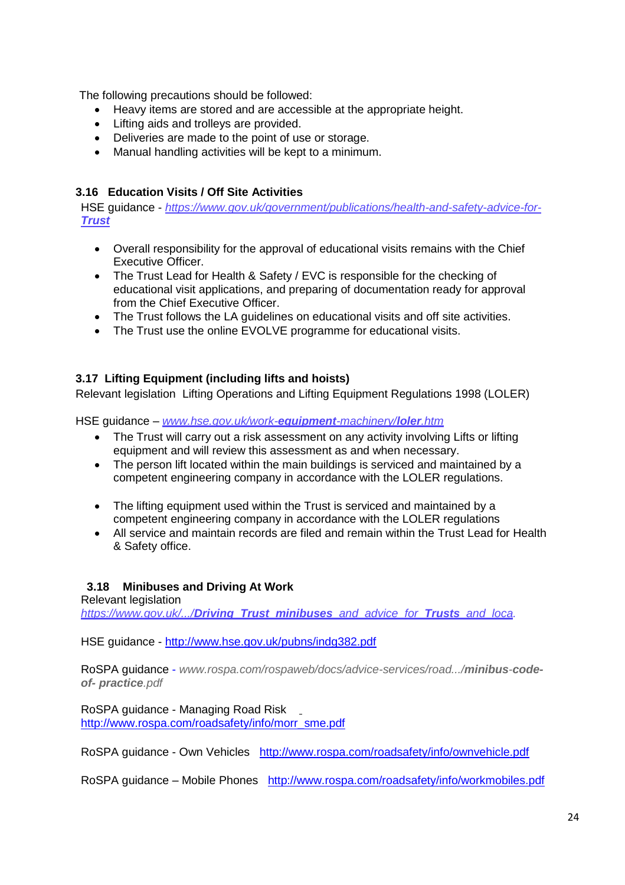The following precautions should be followed:

- Heavy items are stored and are accessible at the appropriate height.
- Lifting aids and trolleys are provided.
- Deliveries are made to the point of use or storage.
- Manual handling activities will be kept to a minimum.

# **3.16 Education Visits / Off Site Activities**

HSE guidance - *https:[//www.gov.uk/government/publications/health-and-safety-advice-for-](http://www.gov.uk/government/publications/health-and-safety-advice-for-school)[Trust](http://www.gov.uk/government/publications/health-and-safety-advice-for-school)*

- Overall responsibility for the approval of educational visits remains with the Chief Executive Officer.
- The Trust Lead for Health & Safety / EVC is responsible for the checking of educational visit applications, and preparing of documentation ready for approval from the Chief Executive Officer.
- The Trust follows the LA guidelines on educational visits and off site activities.
- The Trust use the online EVOLVE programme for educational visits.

# **3.17 Lifting Equipment (including lifts and hoists)**

Relevant legislation Lifting Operations and Lifting Equipment Regulations 1998 (LOLER)

HSE guidance – *[www.hse.gov.uk/work-](http://www.hse.gov.uk/work-equipment-machinery/loler.htm)equipment-machinery/loler.htm*

- The Trust will carry out a risk assessment on any activity involving Lifts or lifting equipment and will review this assessment as and when necessary.
- The person lift located within the main buildings is serviced and maintained by a competent engineering company in accordance with the LOLER regulations.
- The lifting equipment used within the Trust is serviced and maintained by a competent engineering company in accordance with the LOLER regulations
- All service and maintain records are filed and remain within the Trust Lead for Health & Safety office.

### **3.18 Minibuses and Driving At Work**

Relevant legislation

*https://www.gov.uk/.../Driving\_Trust\_minibuses[\\_and\\_advice\\_for\\_](http://www.gov.uk/.../Driving_school_minibuses_and_advice_for_schools_and_loca)Trusts\_and\_loca.*

HSE guidance - <http://www.hse.gov.uk/pubns/indg382.pdf>

RoSPA guidance - *[www.rospa.com/rospaweb/docs/advice-services/road.../](http://www.rospa.com/rospaweb/docs/advice-services/road.../minibus-code-of-)minibus-code[of-](http://www.rospa.com/rospaweb/docs/advice-services/road.../minibus-code-of-) practice.pdf*

RoSPA guidance - Managing Road Risk [http://www.rospa.com/roadsafety/info/morr\\_sme.pdf](http://www.rospa.com/roadsafety/info/morr_sme.pdf)

RoSPA guidance - Own Vehicles <http://www.rospa.com/roadsafety/info/ownvehicle.pdf>

RoSPA guidance – Mobile Phones <http://www.rospa.com/roadsafety/info/workmobiles.pdf>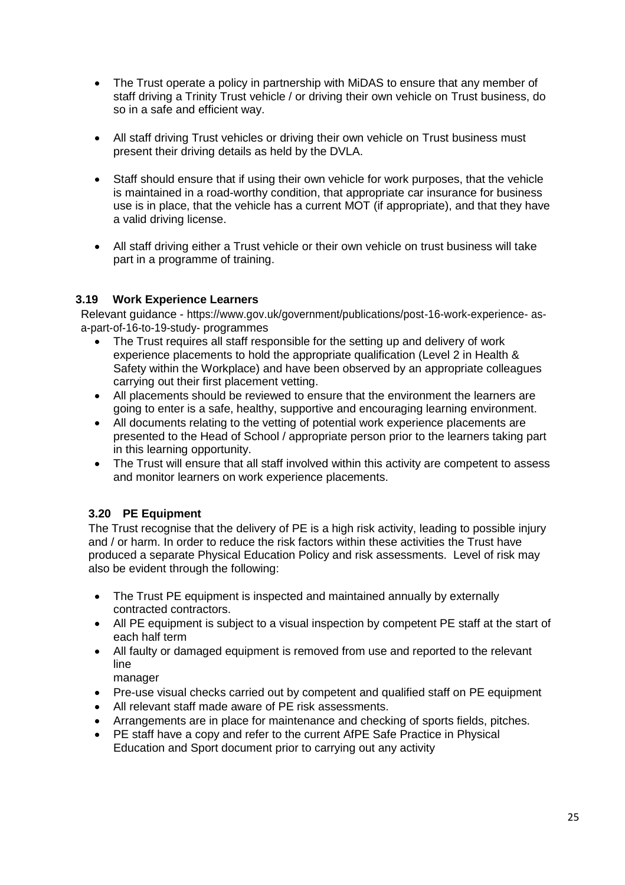- The Trust operate a policy in partnership with MiDAS to ensure that any member of staff driving a Trinity Trust vehicle / or driving their own vehicle on Trust business, do so in a safe and efficient way.
- All staff driving Trust vehicles or driving their own vehicle on Trust business must present their driving details as held by the DVLA.
- Staff should ensure that if using their own vehicle for work purposes, that the vehicle is maintained in a road-worthy condition, that appropriate car insurance for business use is in place, that the vehicle has a current MOT (if appropriate), and that they have a valid driving license.
- All staff driving either a Trust vehicle or their own vehicle on trust business will take part in a programme of training.

# **3.19 Work Experience Learners**

Relevant guidance - https:/[/www.gov.uk/government/publications/post-16-work-experience-](http://www.gov.uk/government/publications/post-16-work-experience-as-a-part-of-16-to-19-study-) [as](http://www.gov.uk/government/publications/post-16-work-experience-as-a-part-of-16-to-19-study-)[a-part-of-16-to-19-study-](http://www.gov.uk/government/publications/post-16-work-experience-as-a-part-of-16-to-19-study-) programmes

- The Trust requires all staff responsible for the setting up and delivery of work experience placements to hold the appropriate qualification (Level 2 in Health & Safety within the Workplace) and have been observed by an appropriate colleagues carrying out their first placement vetting.
- All placements should be reviewed to ensure that the environment the learners are going to enter is a safe, healthy, supportive and encouraging learning environment.
- All documents relating to the vetting of potential work experience placements are presented to the Head of School / appropriate person prior to the learners taking part in this learning opportunity.
- The Trust will ensure that all staff involved within this activity are competent to assess and monitor learners on work experience placements.

# **3.20 PE Equipment**

The Trust recognise that the delivery of PE is a high risk activity, leading to possible injury and / or harm. In order to reduce the risk factors within these activities the Trust have produced a separate Physical Education Policy and risk assessments. Level of risk may also be evident through the following:

- The Trust PE equipment is inspected and maintained annually by externally contracted contractors.
- All PE equipment is subject to a visual inspection by competent PE staff at the start of each half term
- All faulty or damaged equipment is removed from use and reported to the relevant line

manager

- Pre-use visual checks carried out by competent and qualified staff on PE equipment
- All relevant staff made aware of PE risk assessments.
- Arrangements are in place for maintenance and checking of sports fields, pitches.
- PE staff have a copy and refer to the current AfPE Safe Practice in Physical Education and Sport document prior to carrying out any activity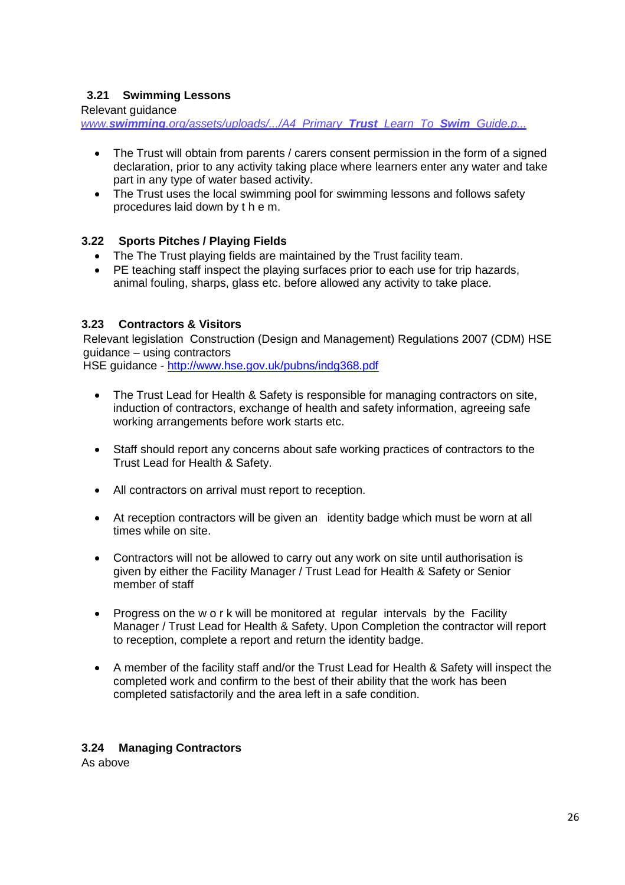# **3.21 Swimming Lessons**

Relevant guidance

*www.swimming[.org/assets/uploads/.../A4\\_Primary\\_](http://www.swimming.org/assets/uploads/.../A4_Primary_School_Learn_To_Swim_Guide.p)Trust\_Learn\_To\_Swim\_Guide.p...*

- The Trust will obtain from parents / carers consent permission in the form of a signed declaration, prior to any activity taking place where learners enter any water and take part in any type of water based activity.
- The Trust uses the local swimming pool for swimming lessons and follows safety procedures laid down by t h e m.

# **3.22 Sports Pitches / Playing Fields**

- The The Trust playing fields are maintained by the Trust facility team.
- PE teaching staff inspect the playing surfaces prior to each use for trip hazards, animal fouling, sharps, glass etc. before allowed any activity to take place.

# **3.23 Contractors & Visitors**

Relevant legislation Construction (Design and Management) Regulations 2007 (CDM) HSE guidance – using contractors

HSE guidance - <http://www.hse.gov.uk/pubns/indg368.pdf>

- The Trust Lead for Health & Safety is responsible for managing contractors on site, induction of contractors, exchange of health and safety information, agreeing safe working arrangements before work starts etc.
- Staff should report any concerns about safe working practices of contractors to the Trust Lead for Health & Safety.
- All contractors on arrival must report to reception.
- At reception contractors will be given an identity badge which must be worn at all times while on site.
- Contractors will not be allowed to carry out any work on site until authorisation is given by either the Facility Manager / Trust Lead for Health & Safety or Senior member of staff
- Progress on the w o r k will be monitored at regular intervals by the Facility Manager / Trust Lead for Health & Safety. Upon Completion the contractor will report to reception, complete a report and return the identity badge.
- A member of the facility staff and/or the Trust Lead for Health & Safety will inspect the completed work and confirm to the best of their ability that the work has been completed satisfactorily and the area left in a safe condition.

# **3.24 Managing Contractors**

As above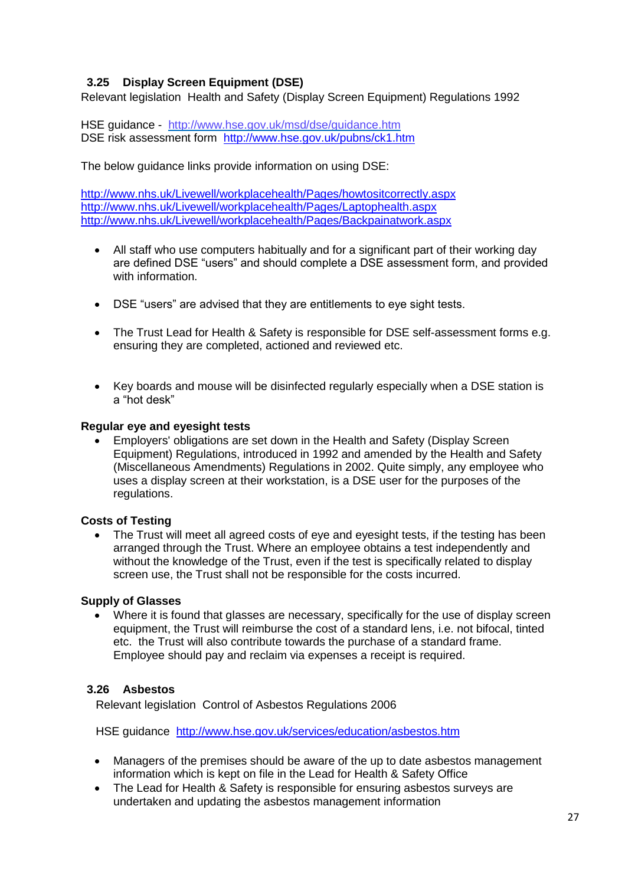# **3.25 Display Screen Equipment (DSE)**

Relevant legislation Health and Safety (Display Screen Equipment) Regulations 1992

HSE guidance - <http://www.hse.gov.uk/msd/dse/guidance.htm> DSE risk assessment form <http://www.hse.gov.uk/pubns/ck1.htm>

The below guidance links provide information on using DSE:

<http://www.nhs.uk/Livewell/workplacehealth/Pages/howtositcorrectly.aspx> <http://www.nhs.uk/Livewell/workplacehealth/Pages/Laptophealth.aspx> <http://www.nhs.uk/Livewell/workplacehealth/Pages/Backpainatwork.aspx>

- All staff who use computers habitually and for a significant part of their working day are defined DSE "users" and should complete a DSE assessment form, and provided with information.
- DSE "users" are advised that they are entitlements to eye sight tests.
- The Trust Lead for Health & Safety is responsible for DSE self-assessment forms e.g. ensuring they are completed, actioned and reviewed etc.
- Key boards and mouse will be disinfected regularly especially when a DSE station is a "hot desk"

#### **Regular eye and eyesight tests**

 Employers' obligations are set down in the Health and Safety (Display Screen Equipment) Regulations, introduced in 1992 and amended by the Health and Safety (Miscellaneous Amendments) Regulations in 2002. Quite simply, any employee who uses a display screen at their workstation, is a DSE user for the purposes of the regulations.

### **Costs of Testing**

• The Trust will meet all agreed costs of eye and eyesight tests, if the testing has been arranged through the Trust. Where an employee obtains a test independently and without the knowledge of the Trust, even if the test is specifically related to display screen use, the Trust shall not be responsible for the costs incurred.

### **Supply of Glasses**

 Where it is found that glasses are necessary, specifically for the use of display screen equipment, the Trust will reimburse the cost of a standard lens, i.e. not bifocal, tinted etc. the Trust will also contribute towards the purchase of a standard frame. Employee should pay and reclaim via expenses a receipt is required.

### **3.26 Asbestos**

Relevant legislation Control of Asbestos Regulations 2006

HSE guidance <http://www.hse.gov.uk/services/education/asbestos.htm>

- Managers of the premises should be aware of the up to date asbestos management information which is kept on file in the Lead for Health & Safety Office
- The Lead for Health & Safety is responsible for ensuring asbestos surveys are undertaken and updating the asbestos management information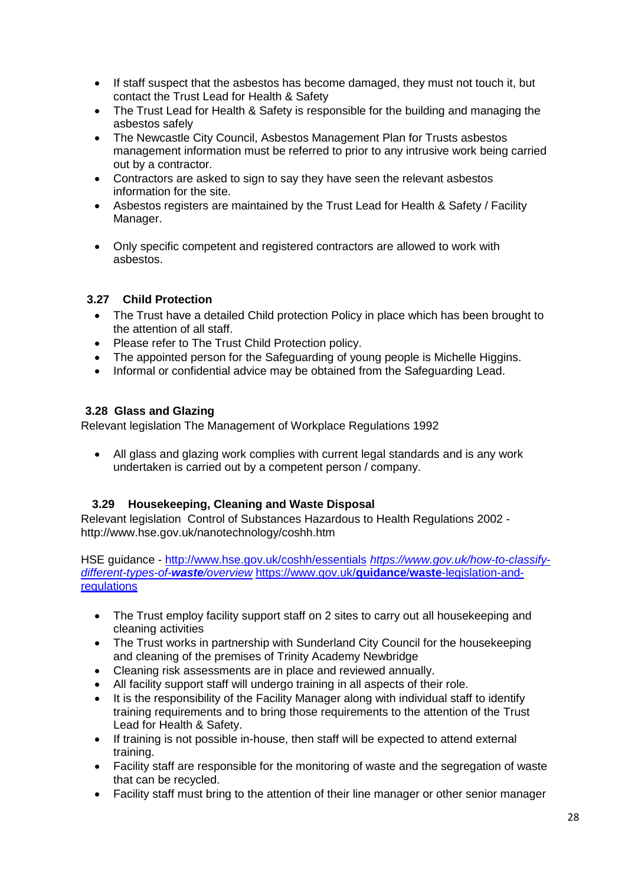- If staff suspect that the asbestos has become damaged, they must not touch it, but contact the Trust Lead for Health & Safety
- The Trust Lead for Health & Safety is responsible for the building and managing the asbestos safely
- The Newcastle City Council, Asbestos Management Plan for Trusts asbestos management information must be referred to prior to any intrusive work being carried out by a contractor.
- Contractors are asked to sign to say they have seen the relevant asbestos information for the site.
- Asbestos registers are maintained by the Trust Lead for Health & Safety / Facility Manager.
- Only specific competent and registered contractors are allowed to work with asbestos.

# **3.27 Child Protection**

- The Trust have a detailed Child protection Policy in place which has been brought to the attention of all staff.
- Please refer to The Trust Child Protection policy.
- The appointed person for the Safeguarding of young people is Michelle Higgins.
- Informal or confidential advice may be obtained from the Safeguarding Lead.

# **3.28 Glass and Glazing**

Relevant legislation The Management of Workplace Regulations 1992

 All glass and glazing work complies with current legal standards and is any work undertaken is carried out by a competent person / company.

# **3.29 Housekeeping, Cleaning and Waste Disposal**

Relevant legislation Control of Substances Hazardous to Health Regulations 2002  <http://www.hse.gov.uk/nanotechnology/coshh.htm>

HSE guidance - <http://www.hse.gov.uk/coshh/essentials> *[https://www.gov.uk/how-to-classify](http://www.hse.gov.uk/coshh/essentials)[different-types-of-](https://www.gov.uk/how-to-classify-different-types-of-waste/overview)waste/overview* [https://www.gov.uk/](https://www.gov.uk/how-to-classify-different-types-of-waste/overview)**guidance**/**waste**-legislation-and[regulations](https://www.gov.uk/guidance/waste-legislation-and-regulations)

- The Trust employ facility support staff on 2 sites to carry out all housekeeping and cleaning activities
- The Trust works in partnership with Sunderland City Council for the housekeeping and cleaning of the premises of Trinity Academy Newbridge
- Cleaning risk assessments are in place and reviewed annually.
- All facility support staff will undergo training in all aspects of their role.
- It is the responsibility of the Facility Manager along with individual staff to identify training requirements and to bring those requirements to the attention of the Trust Lead for Health & Safety.
- If training is not possible in-house, then staff will be expected to attend external training.
- Facility staff are responsible for the monitoring of waste and the segregation of waste that can be recycled.
- Facility staff must bring to the attention of their line manager or other senior manager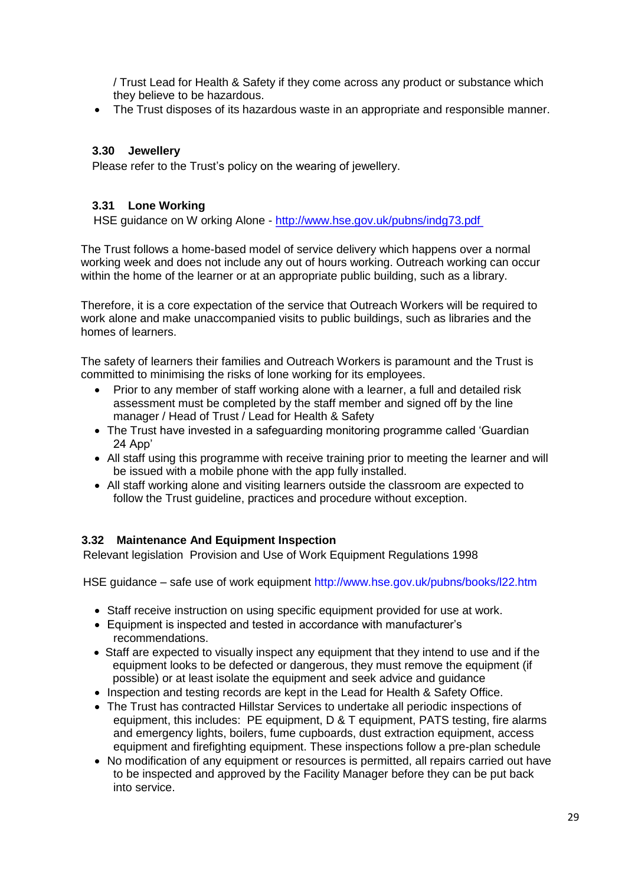/ Trust Lead for Health & Safety if they come across any product or substance which they believe to be hazardous.

The Trust disposes of its hazardous waste in an appropriate and responsible manner.

## **3.30 Jewellery**

Please refer to the Trust's policy on the wearing of jewellery.

## **3.31 Lone Working**

HSE guidance on W orking Alone - <http://www.hse.gov.uk/pubns/indg73.pdf>

The Trust follows a home-based model of service delivery which happens over a normal working week and does not include any out of hours working. Outreach working can occur within the home of the learner or at an appropriate public building, such as a library.

Therefore, it is a core expectation of the service that Outreach Workers will be required to work alone and make unaccompanied visits to public buildings, such as libraries and the homes of learners.

The safety of learners their families and Outreach Workers is paramount and the Trust is committed to minimising the risks of lone working for its employees.

- Prior to any member of staff working alone with a learner, a full and detailed risk assessment must be completed by the staff member and signed off by the line manager / Head of Trust / Lead for Health & Safety
- The Trust have invested in a safeguarding monitoring programme called 'Guardian 24 App'
- All staff using this programme with receive training prior to meeting the learner and will be issued with a mobile phone with the app fully installed.
- All staff working alone and visiting learners outside the classroom are expected to follow the Trust guideline, practices and procedure without exception.

# **3.32 Maintenance And Equipment Inspection**

Relevant legislation Provision and Use of Work Equipment Regulations 1998

HSE guidance – safe use of work equipment<http://www.hse.gov.uk/pubns/books/l22.htm>

- Staff receive instruction on using specific equipment provided for use at work.
- Equipment is inspected and tested in accordance with manufacturer's recommendations.
- Staff are expected to visually inspect any equipment that they intend to use and if the equipment looks to be defected or dangerous, they must remove the equipment (if possible) or at least isolate the equipment and seek advice and guidance
- Inspection and testing records are kept in the Lead for Health & Safety Office.
- The Trust has contracted Hillstar Services to undertake all periodic inspections of equipment, this includes: PE equipment, D & T equipment, PATS testing, fire alarms and emergency lights, boilers, fume cupboards, dust extraction equipment, access equipment and firefighting equipment. These inspections follow a pre-plan schedule
- No modification of any equipment or resources is permitted, all repairs carried out have to be inspected and approved by the Facility Manager before they can be put back into service.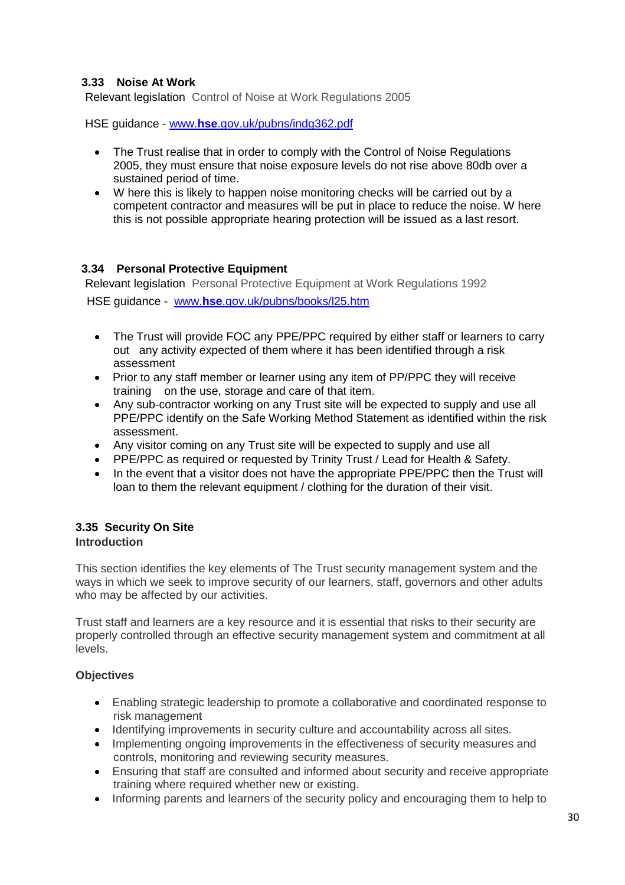# **3.33 Noise At Work**

Relevant legislation Control of Noise at Work Regulations 2005

HSE guidance - www.**hse**[.gov.uk/pubns/indg362.pdf](http://www.hse.gov.uk/pubns/indg362.pdf)

- The Trust realise that in order to comply with the Control of Noise Regulations 2005, they must ensure that noise exposure levels do not rise above 80db over a sustained period of time.
- W here this is likely to happen noise monitoring checks will be carried out by a competent contractor and measures will be put in place to reduce the noise. W here this is not possible appropriate hearing protection will be issued as a last resort.

# **3.34 Personal Protective Equipment**

Relevant legislation Personal Protective Equipment at Work Regulations 1992 HSE guidance - www.**hse**[.gov.uk/pubns/books/l25.htm](http://www.hse.gov.uk/pubns/books/l25.htm)

- The Trust will provide FOC any PPE/PPC required by either staff or learners to carry out any activity expected of them where it has been identified through a risk assessment
- Prior to any staff member or learner using any item of PP/PPC they will receive training on the use, storage and care of that item.
- Any sub-contractor working on any Trust site will be expected to supply and use all PPE/PPC identify on the Safe Working Method Statement as identified within the risk assessment.
- Any visitor coming on any Trust site will be expected to supply and use all
- PPE/PPC as required or requested by Trinity Trust / Lead for Health & Safety.
- In the event that a visitor does not have the appropriate PPE/PPC then the Trust will loan to them the relevant equipment / clothing for the duration of their visit.

# **3.35 Security On Site**

# **Introduction**

This section identifies the key elements of The Trust security management system and the ways in which we seek to improve security of our learners, staff, governors and other adults who may be affected by our activities.

Trust staff and learners are a key resource and it is essential that risks to their security are properly controlled through an effective security management system and commitment at all levels.

### **Objectives**

- Enabling strategic leadership to promote a collaborative and coordinated response to risk management
- Identifying improvements in security culture and accountability across all sites.
- Implementing ongoing improvements in the effectiveness of security measures and controls, monitoring and reviewing security measures.
- Ensuring that staff are consulted and informed about security and receive appropriate training where required whether new or existing.
- Informing parents and learners of the security policy and encouraging them to help to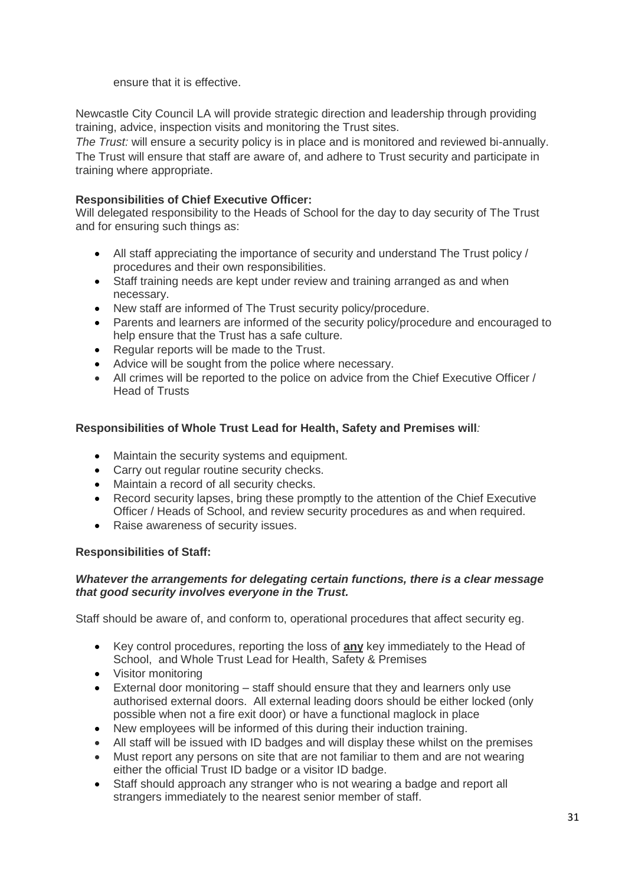ensure that it is effective.

Newcastle City Council LA will provide strategic direction and leadership through providing training, advice, inspection visits and monitoring the Trust sites.

*The Trust:* will ensure a security policy is in place and is monitored and reviewed bi-annually. The Trust will ensure that staff are aware of, and adhere to Trust security and participate in training where appropriate.

# **Responsibilities of Chief Executive Officer:**

Will delegated responsibility to the Heads of School for the day to day security of The Trust and for ensuring such things as:

- All staff appreciating the importance of security and understand The Trust policy / procedures and their own responsibilities.
- Staff training needs are kept under review and training arranged as and when necessary.
- New staff are informed of The Trust security policy/procedure.
- Parents and learners are informed of the security policy/procedure and encouraged to help ensure that the Trust has a safe culture.
- Regular reports will be made to the Trust.
- Advice will be sought from the police where necessary.
- All crimes will be reported to the police on advice from the Chief Executive Officer / Head of Trusts

# **Responsibilities of Whole Trust Lead for Health, Safety and Premises will***:*

- Maintain the security systems and equipment.
- Carry out regular routine security checks.
- Maintain a record of all security checks.
- Record security lapses, bring these promptly to the attention of the Chief Executive Officer / Heads of School, and review security procedures as and when required.
- Raise awareness of security issues.

# **Responsibilities of Staff:**

# *Whatever the arrangements for delegating certain functions, there is a clear message that good security involves everyone in the Trust.*

Staff should be aware of, and conform to, operational procedures that affect security eg.

- Key control procedures, reporting the loss of **any** key immediately to the Head of School, and Whole Trust Lead for Health, Safety & Premises
- Visitor monitoring
- External door monitoring staff should ensure that they and learners only use authorised external doors. All external leading doors should be either locked (only possible when not a fire exit door) or have a functional maglock in place
- New employees will be informed of this during their induction training.
- All staff will be issued with ID badges and will display these whilst on the premises
- Must report any persons on site that are not familiar to them and are not wearing either the official Trust ID badge or a visitor ID badge.
- Staff should approach any stranger who is not wearing a badge and report all strangers immediately to the nearest senior member of staff.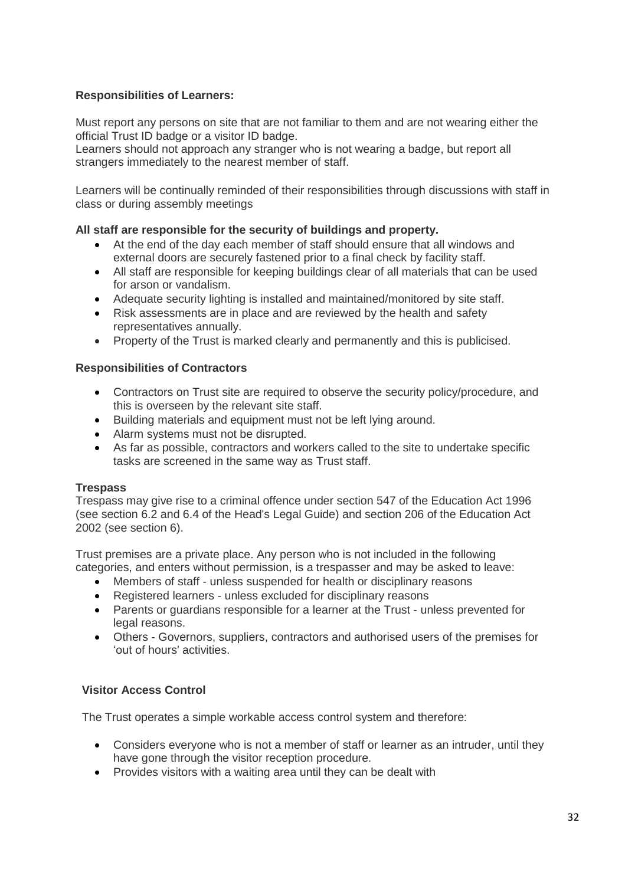# **Responsibilities of Learners:**

Must report any persons on site that are not familiar to them and are not wearing either the official Trust ID badge or a visitor ID badge.

Learners should not approach any stranger who is not wearing a badge, but report all strangers immediately to the nearest member of staff.

Learners will be continually reminded of their responsibilities through discussions with staff in class or during assembly meetings

### **All staff are responsible for the security of buildings and property.**

- At the end of the day each member of staff should ensure that all windows and external doors are securely fastened prior to a final check by facility staff.
- All staff are responsible for keeping buildings clear of all materials that can be used for arson or vandalism.
- Adequate security lighting is installed and maintained/monitored by site staff.
- Risk assessments are in place and are reviewed by the health and safety representatives annually.
- Property of the Trust is marked clearly and permanently and this is publicised.

### **Responsibilities of Contractors**

- Contractors on Trust site are required to observe the security policy/procedure, and this is overseen by the relevant site staff.
- Building materials and equipment must not be left lying around.
- Alarm systems must not be disrupted.
- As far as possible, contractors and workers called to the site to undertake specific tasks are screened in the same way as Trust staff.

### **Trespass**

Trespass may give rise to a criminal offence under section 547 of the Education Act 1996 (see section 6.2 and 6.4 of the Head's Legal Guide) and section 206 of the Education Act 2002 (see section 6).

Trust premises are a private place. Any person who is not included in the following categories, and enters without permission, is a trespasser and may be asked to leave:

- Members of staff unless suspended for health or disciplinary reasons
- Registered learners unless excluded for disciplinary reasons
- Parents or guardians responsible for a learner at the Trust unless prevented for legal reasons.
- Others Governors, suppliers, contractors and authorised users of the premises for 'out of hours' activities.

### **Visitor Access Control**

The Trust operates a simple workable access control system and therefore:

- Considers everyone who is not a member of staff or learner as an intruder, until they have gone through the visitor reception procedure.
- Provides visitors with a waiting area until they can be dealt with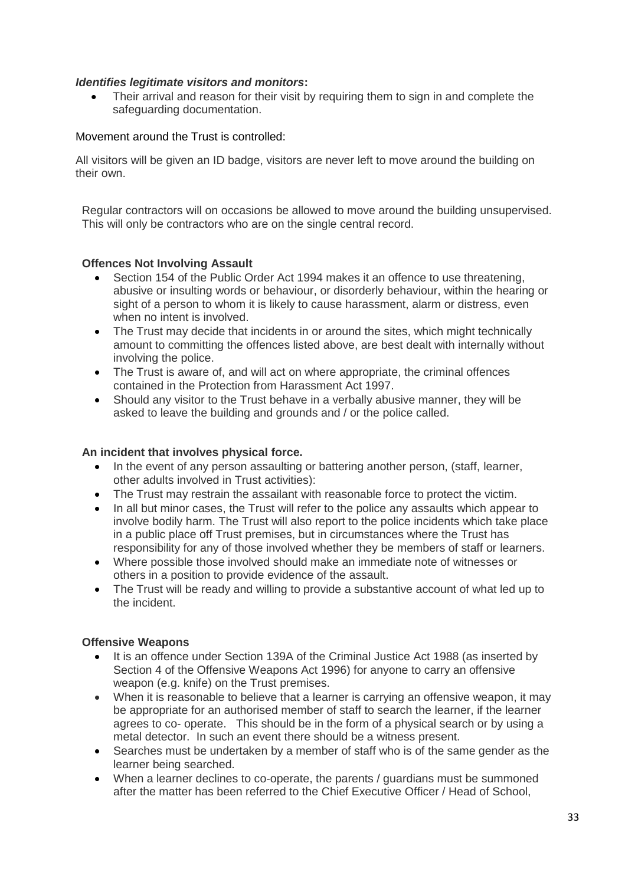# *Identifies legitimate visitors and monitors***:**

 Their arrival and reason for their visit by requiring them to sign in and complete the safeguarding documentation.

## Movement around the Trust is controlled:

All visitors will be given an ID badge, visitors are never left to move around the building on their own.

Regular contractors will on occasions be allowed to move around the building unsupervised. This will only be contractors who are on the single central record.

### **Offences Not Involving Assault**

- Section 154 of the Public Order Act 1994 makes it an offence to use threatening, abusive or insulting words or behaviour, or disorderly behaviour, within the hearing or sight of a person to whom it is likely to cause harassment, alarm or distress, even when no intent is involved.
- The Trust may decide that incidents in or around the sites, which might technically amount to committing the offences listed above, are best dealt with internally without involving the police.
- The Trust is aware of, and will act on where appropriate, the criminal offences contained in the Protection from Harassment Act 1997.
- Should any visitor to the Trust behave in a verbally abusive manner, they will be asked to leave the building and grounds and / or the police called.

### **An incident that involves physical force.**

- In the event of any person assaulting or battering another person, (staff, learner, other adults involved in Trust activities):
- The Trust may restrain the assailant with reasonable force to protect the victim.
- In all but minor cases, the Trust will refer to the police any assaults which appear to involve bodily harm. The Trust will also report to the police incidents which take place in a public place off Trust premises, but in circumstances where the Trust has responsibility for any of those involved whether they be members of staff or learners.
- Where possible those involved should make an immediate note of witnesses or others in a position to provide evidence of the assault.
- The Trust will be ready and willing to provide a substantive account of what led up to the incident.

### **Offensive Weapons**

- It is an offence under Section 139A of the Criminal Justice Act 1988 (as inserted by Section 4 of the Offensive Weapons Act 1996) for anyone to carry an offensive weapon (e.g. knife) on the Trust premises.
- When it is reasonable to believe that a learner is carrying an offensive weapon, it may be appropriate for an authorised member of staff to search the learner, if the learner agrees to co- operate. This should be in the form of a physical search or by using a metal detector. In such an event there should be a witness present.
- Searches must be undertaken by a member of staff who is of the same gender as the learner being searched.
- When a learner declines to co-operate, the parents / guardians must be summoned after the matter has been referred to the Chief Executive Officer / Head of School,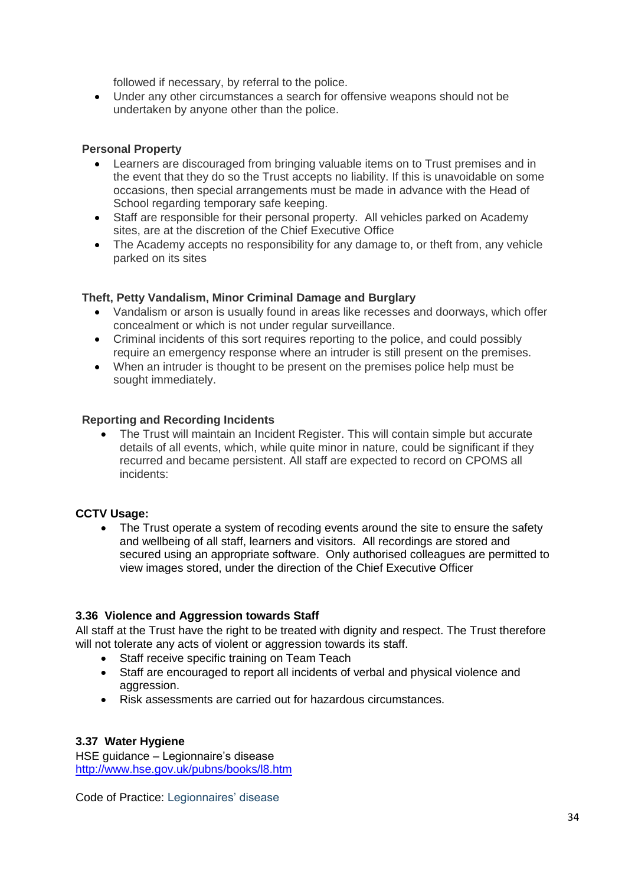followed if necessary, by referral to the police.

 Under any other circumstances a search for offensive weapons should not be undertaken by anyone other than the police.

#### **Personal Property**

- Learners are discouraged from bringing valuable items on to Trust premises and in the event that they do so the Trust accepts no liability. If this is unavoidable on some occasions, then special arrangements must be made in advance with the Head of School regarding temporary safe keeping.
- Staff are responsible for their personal property. All vehicles parked on Academy sites, are at the discretion of the Chief Executive Office
- The Academy accepts no responsibility for any damage to, or theft from, any vehicle parked on its sites

### **Theft, Petty Vandalism, Minor Criminal Damage and Burglary**

- Vandalism or arson is usually found in areas like recesses and doorways, which offer concealment or which is not under regular surveillance.
- Criminal incidents of this sort requires reporting to the police, and could possibly require an emergency response where an intruder is still present on the premises.
- When an intruder is thought to be present on the premises police help must be sought immediately.

### **Reporting and Recording Incidents**

 The Trust will maintain an Incident Register. This will contain simple but accurate details of all events, which, while quite minor in nature, could be significant if they recurred and became persistent. All staff are expected to record on CPOMS all incidents:

### **CCTV Usage:**

 The Trust operate a system of recoding events around the site to ensure the safety and wellbeing of all staff, learners and visitors. All recordings are stored and secured using an appropriate software. Only authorised colleagues are permitted to view images stored, under the direction of the Chief Executive Officer

### **3.36 Violence and Aggression towards Staff**

All staff at the Trust have the right to be treated with dignity and respect. The Trust therefore will not tolerate any acts of violent or aggression towards its staff.

- Staff receive specific training on Team Teach
- Staff are encouraged to report all incidents of verbal and physical violence and aggression.
- Risk assessments are carried out for hazardous circumstances.

### **3.37 Water Hygiene**

HSE guidance – Legionnaire's disease <http://www.hse.gov.uk/pubns/books/l8.htm>

Code of Practice: Legionnaires' disease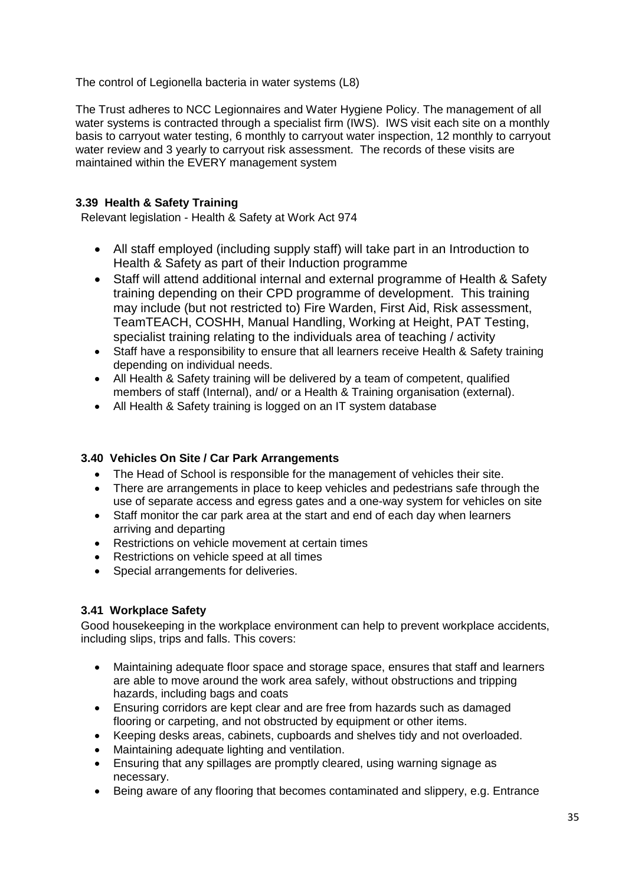The control of Legionella bacteria in water systems (L8)

The Trust adheres to NCC Legionnaires and Water Hygiene Policy. The management of all water systems is contracted through a specialist firm (IWS). IWS visit each site on a monthly basis to carryout water testing, 6 monthly to carryout water inspection, 12 monthly to carryout water review and 3 yearly to carryout risk assessment. The records of these visits are maintained within the EVERY management system

# **3.39 Health & Safety Training**

Relevant legislation - Health & Safety at Work Act 974

- All staff employed (including supply staff) will take part in an Introduction to Health & Safety as part of their Induction programme
- Staff will attend additional internal and external programme of Health & Safety training depending on their CPD programme of development. This training may include (but not restricted to) Fire Warden, First Aid, Risk assessment, TeamTEACH, COSHH, Manual Handling, Working at Height, PAT Testing, specialist training relating to the individuals area of teaching / activity
- Staff have a responsibility to ensure that all learners receive Health & Safety training depending on individual needs.
- All Health & Safety training will be delivered by a team of competent, qualified members of staff (Internal), and/ or a Health & Training organisation (external).
- All Health & Safety training is logged on an IT system database

# **3.40 Vehicles On Site / Car Park Arrangements**

- The Head of School is responsible for the management of vehicles their site.
- There are arrangements in place to keep vehicles and pedestrians safe through the use of separate access and egress gates and a one-way system for vehicles on site
- Staff monitor the car park area at the start and end of each day when learners arriving and departing
- Restrictions on vehicle movement at certain times
- Restrictions on vehicle speed at all times
- Special arrangements for deliveries.

# **3.41 Workplace Safety**

Good housekeeping in the workplace environment can help to prevent workplace accidents, including slips, trips and falls. This covers:

- Maintaining adequate floor space and storage space, ensures that staff and learners are able to move around the work area safely, without obstructions and tripping hazards, including bags and coats
- Ensuring corridors are kept clear and are free from hazards such as damaged flooring or carpeting, and not obstructed by equipment or other items.
- Keeping desks areas, cabinets, cupboards and shelves tidy and not overloaded.
- Maintaining adequate lighting and ventilation.
- Ensuring that any spillages are promptly cleared, using warning signage as necessary.
- Being aware of any flooring that becomes contaminated and slippery, e.g. Entrance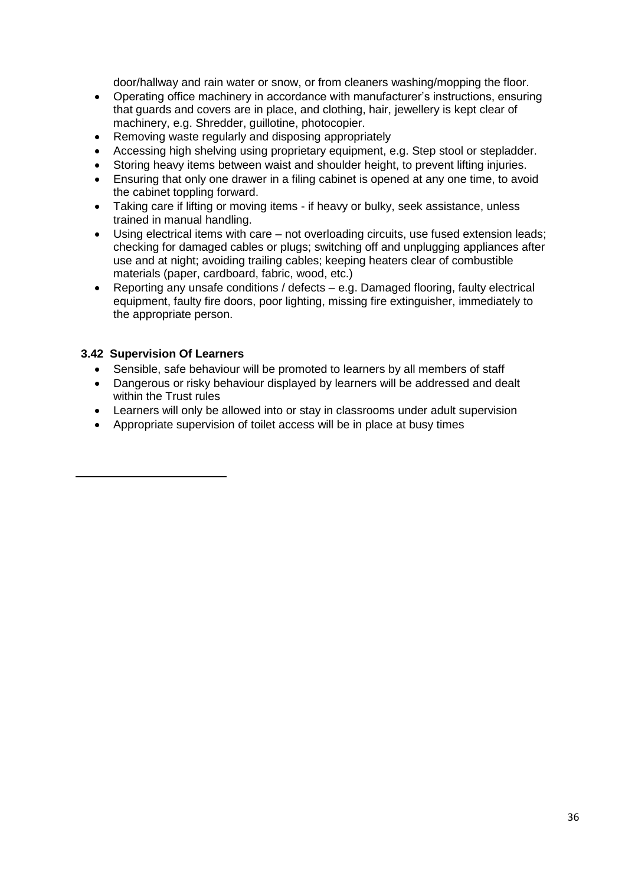door/hallway and rain water or snow, or from cleaners washing/mopping the floor.

- Operating office machinery in accordance with manufacturer's instructions, ensuring that guards and covers are in place, and clothing, hair, jewellery is kept clear of machinery, e.g. Shredder, guillotine, photocopier.
- Removing waste regularly and disposing appropriately
- Accessing high shelving using proprietary equipment, e.g. Step stool or stepladder.
- Storing heavy items between waist and shoulder height, to prevent lifting injuries.
- Ensuring that only one drawer in a filing cabinet is opened at any one time, to avoid the cabinet toppling forward.
- Taking care if lifting or moving items if heavy or bulky, seek assistance, unless trained in manual handling.
- Using electrical items with care not overloading circuits, use fused extension leads; checking for damaged cables or plugs; switching off and unplugging appliances after use and at night; avoiding trailing cables; keeping heaters clear of combustible materials (paper, cardboard, fabric, wood, etc.)
- Reporting any unsafe conditions / defects e.g. Damaged flooring, faulty electrical equipment, faulty fire doors, poor lighting, missing fire extinguisher, immediately to the appropriate person.

# **3.42 Supervision Of Learners**

- Sensible, safe behaviour will be promoted to learners by all members of staff
- Dangerous or risky behaviour displayed by learners will be addressed and dealt within the Trust rules
- Learners will only be allowed into or stay in classrooms under adult supervision
- Appropriate supervision of toilet access will be in place at busy times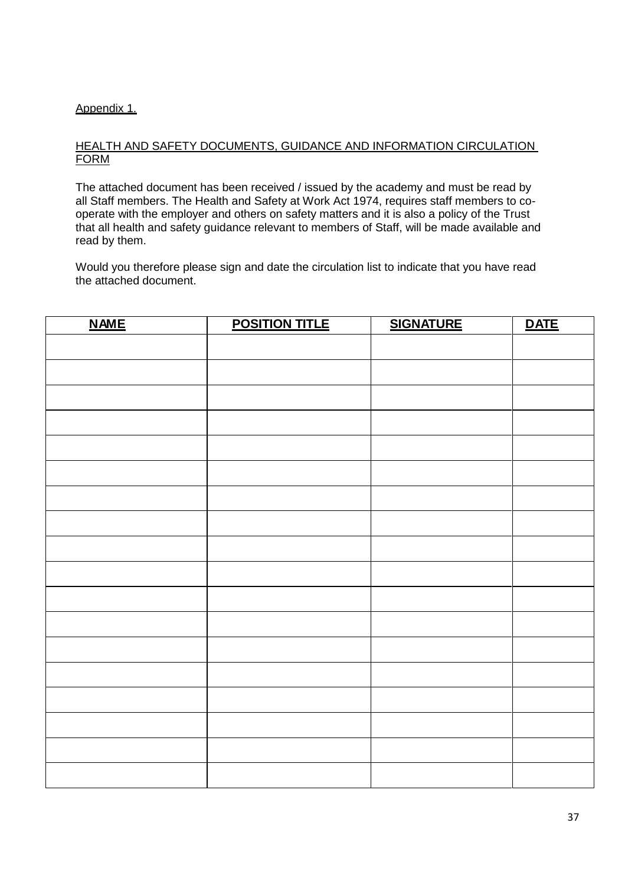# Appendix 1.

#### HEALTH AND SAFETY DOCUMENTS, GUIDANCE AND INFORMATION CIRCULATION FORM

The attached document has been received / issued by the academy and must be read by all Staff members. The Health and Safety at Work Act 1974, requires staff members to cooperate with the employer and others on safety matters and it is also a policy of the Trust that all health and safety guidance relevant to members of Staff, will be made available and read by them.

Would you therefore please sign and date the circulation list to indicate that you have read the attached document.

| <b>NAME</b> | <b>POSITION TITLE</b> | <b>SIGNATURE</b> | <b>DATE</b> |
|-------------|-----------------------|------------------|-------------|
|             |                       |                  |             |
|             |                       |                  |             |
|             |                       |                  |             |
|             |                       |                  |             |
|             |                       |                  |             |
|             |                       |                  |             |
|             |                       |                  |             |
|             |                       |                  |             |
|             |                       |                  |             |
|             |                       |                  |             |
|             |                       |                  |             |
|             |                       |                  |             |
|             |                       |                  |             |
|             |                       |                  |             |
|             |                       |                  |             |
|             |                       |                  |             |
|             |                       |                  |             |
|             |                       |                  |             |